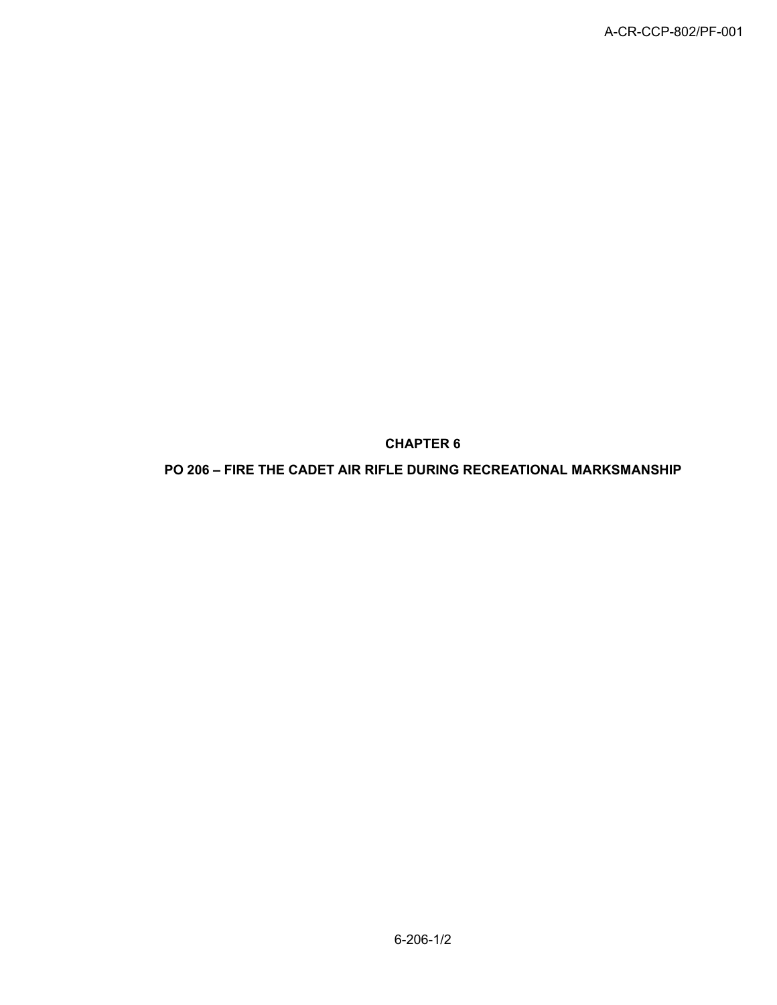**CHAPTER 6**

**PO 206 – FIRE THE CADET AIR RIFLE DURING RECREATIONAL MARKSMANSHIP**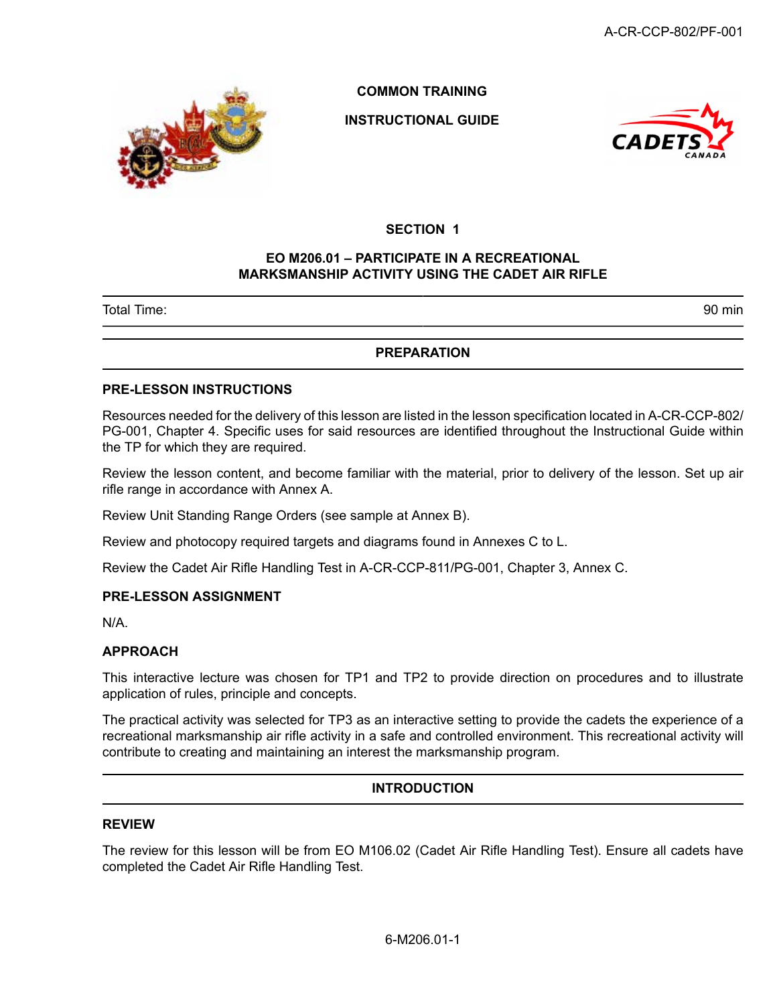

**COMMON TRAINING**

**INSTRUCTIONAL GUIDE**



# **SECTION 1**

### **EO M206.01 – PARTICIPATE IN A RECREATIONAL MARKSMANSHIP ACTIVITY USING THE CADET AIR RIFLE**

Total Time: 90 min

# **PREPARATION**

### **PRE-LESSON INSTRUCTIONS**

Resources needed for the delivery of this lesson are listed in the lesson specification located in A-CR-CCP-802/ PG-001, Chapter 4. Specific uses for said resources are identified throughout the Instructional Guide within the TP for which they are required.

Review the lesson content, and become familiar with the material, prior to delivery of the lesson. Set up air rifle range in accordance with Annex A.

Review Unit Standing Range Orders (see sample at Annex B).

Review and photocopy required targets and diagrams found in Annexes C to L.

Review the Cadet Air Rifle Handling Test in A-CR-CCP-811/PG-001, Chapter 3, Annex C.

### **PRE-LESSON ASSIGNMENT**

N/A.

### **APPROACH**

This interactive lecture was chosen for TP1 and TP2 to provide direction on procedures and to illustrate application of rules, principle and concepts.

The practical activity was selected for TP3 as an interactive setting to provide the cadets the experience of a recreational marksmanship air rifle activity in a safe and controlled environment. This recreational activity will contribute to creating and maintaining an interest the marksmanship program.

# **INTRODUCTION**

### **REVIEW**

The review for this lesson will be from EO M106.02 (Cadet Air Rifle Handling Test). Ensure all cadets have completed the Cadet Air Rifle Handling Test.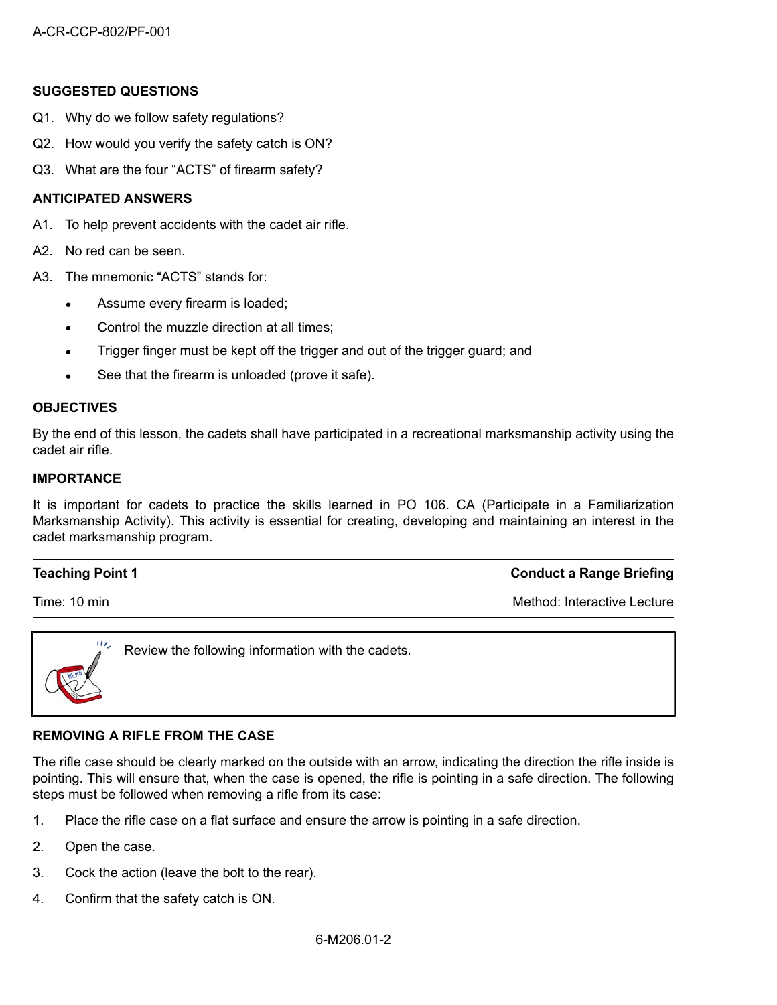### **SUGGESTED QUESTIONS**

- Q1. Why do we follow safety regulations?
- Q2. How would you verify the safety catch is ON?
- Q3. What are the four "ACTS" of firearm safety?

### **ANTICIPATED ANSWERS**

- A1. To help prevent accidents with the cadet air rifle.
- A2. No red can be seen.
- A3. The mnemonic "ACTS" stands for:
	- Assume every firearm is loaded;
	- Control the muzzle direction at all times;
	- Trigger finger must be kept off the trigger and out of the trigger guard; and
	- See that the firearm is unloaded (prove it safe).

### **OBJECTIVES**

By the end of this lesson, the cadets shall have participated in a recreational marksmanship activity using the cadet air rifle.

### **IMPORTANCE**

It is important for cadets to practice the skills learned in PO 106. CA (Participate in a Familiarization Marksmanship Activity). This activity is essential for creating, developing and maintaining an interest in the cadet marksmanship program.

**Teaching Point 1 Conduct a Range Briefing**

Time: 10 min Method: Interactive Lecture Communication of the Method: Interactive Lecture



Review the following information with the cadets.

### **REMOVING A RIFLE FROM THE CASE**

The rifle case should be clearly marked on the outside with an arrow, indicating the direction the rifle inside is pointing. This will ensure that, when the case is opened, the rifle is pointing in a safe direction. The following steps must be followed when removing a rifle from its case:

- 1. Place the rifle case on a flat surface and ensure the arrow is pointing in a safe direction.
- 2. Open the case.
- 3. Cock the action (leave the bolt to the rear).
- 4. Confirm that the safety catch is ON.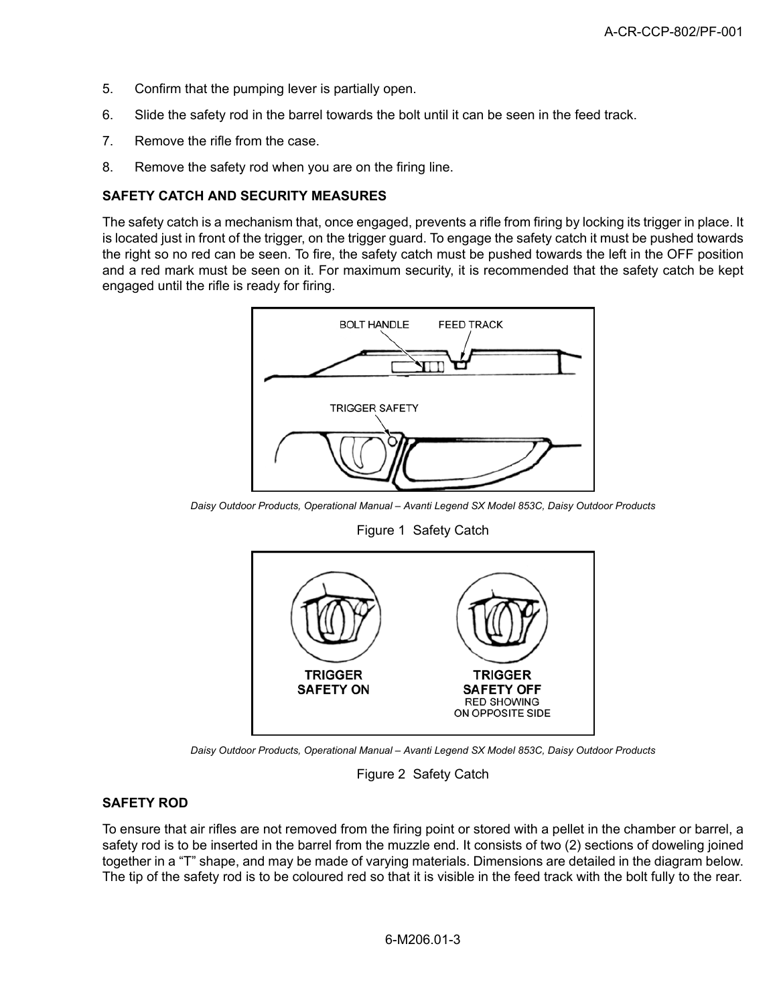- 5. Confirm that the pumping lever is partially open.
- 6. Slide the safety rod in the barrel towards the bolt until it can be seen in the feed track.
- 7. Remove the rifle from the case.
- 8. Remove the safety rod when you are on the firing line.

### **SAFETY CATCH AND SECURITY MEASURES**

The safety catch is a mechanism that, once engaged, prevents a rifle from firing by locking its trigger in place. It is located just in front of the trigger, on the trigger guard. To engage the safety catch it must be pushed towards the right so no red can be seen. To fire, the safety catch must be pushed towards the left in the OFF position and a red mark must be seen on it. For maximum security, it is recommended that the safety catch be kept engaged until the rifle is ready for firing.



*Daisy Outdoor Products, Operational Manual – Avanti Legend SX Model 853C, Daisy Outdoor Products*



Figure 1 Safety Catch

*Daisy Outdoor Products, Operational Manual – Avanti Legend SX Model 853C, Daisy Outdoor Products*

Figure 2 Safety Catch

# **SAFETY ROD**

To ensure that air rifles are not removed from the firing point or stored with a pellet in the chamber or barrel, a safety rod is to be inserted in the barrel from the muzzle end. It consists of two (2) sections of doweling joined together in a "T" shape, and may be made of varying materials. Dimensions are detailed in the diagram below. The tip of the safety rod is to be coloured red so that it is visible in the feed track with the bolt fully to the rear.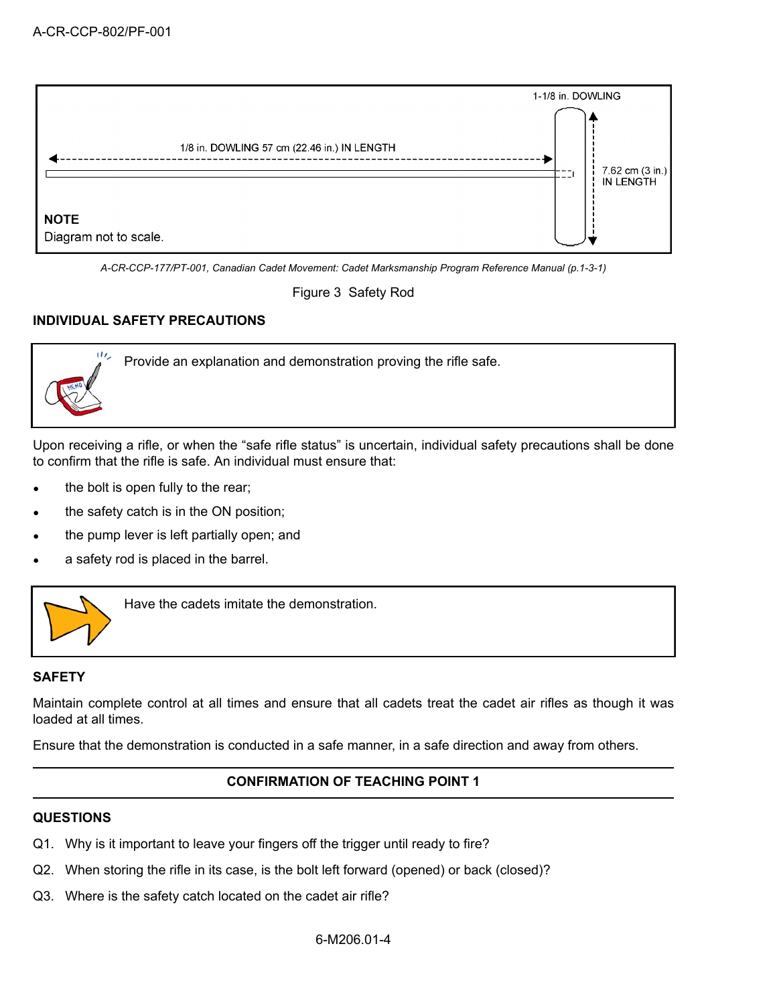

*A-CR-CCP-177/PT-001, Canadian Cadet Movement: Cadet Marksmanship Program Reference Manual (p.1-3-1)*

Figure 3 Safety Rod

# **INDIVIDUAL SAFETY PRECAUTIONS**

 $111$ 

Provide an explanation and demonstration proving the rifle safe.

Upon receiving a rifle, or when the "safe rifle status" is uncertain, individual safety precautions shall be done to confirm that the rifle is safe. An individual must ensure that:

- the bolt is open fully to the rear;
- the safety catch is in the ON position;
- the pump lever is left partially open; and
- a safety rod is placed in the barrel.



Have the cadets imitate the demonstration.

### **SAFETY**

Maintain complete control at all times and ensure that all cadets treat the cadet air rifles as though it was loaded at all times.

Ensure that the demonstration is conducted in a safe manner, in a safe direction and away from others.

### **CONFIRMATION OF TEACHING POINT 1**

### **QUESTIONS**

- Q1. Why is it important to leave your fingers off the trigger until ready to fire?
- Q2. When storing the rifle in its case, is the bolt left forward (opened) or back (closed)?
- Q3. Where is the safety catch located on the cadet air rifle?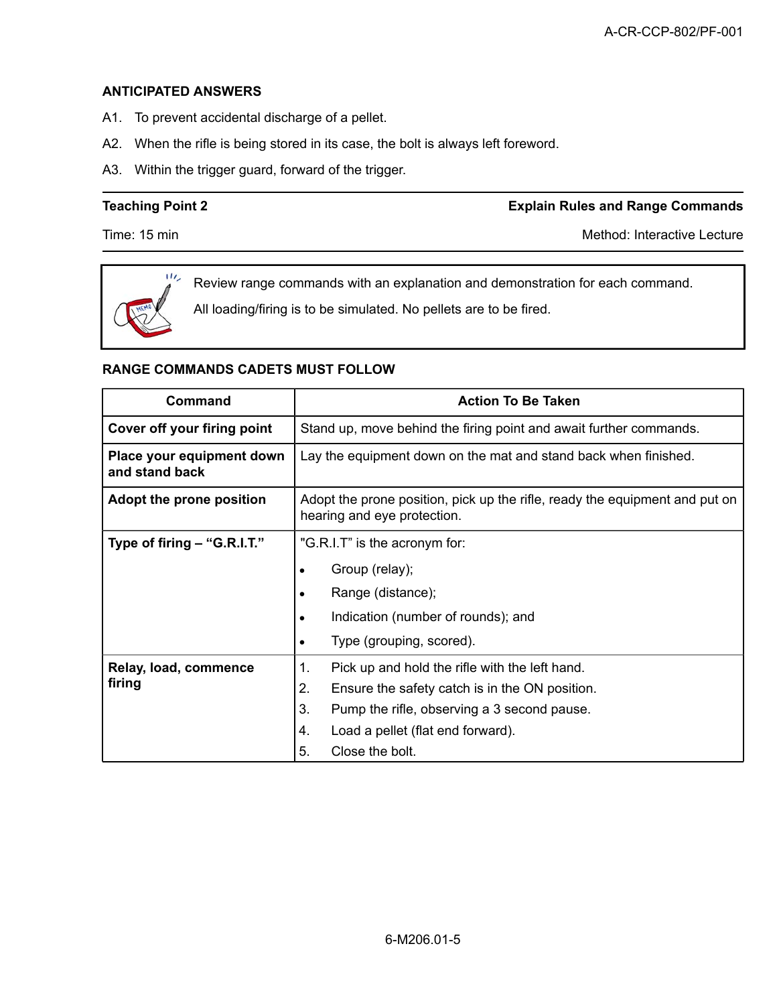# **ANTICIPATED ANSWERS**

- A1. To prevent accidental discharge of a pellet.
- A2. When the rifle is being stored in its case, the bolt is always left foreword.
- A3. Within the trigger guard, forward of the trigger.

# **Teaching Point 2 Explain Rules and Range Commands**

Time: 15 min Method: Interactive Lecture



Review range commands with an explanation and demonstration for each command.

All loading/firing is to be simulated. No pellets are to be fired.

### **RANGE COMMANDS CADETS MUST FOLLOW**

| Command                                     | <b>Action To Be Taken</b>                                                                                  |  |
|---------------------------------------------|------------------------------------------------------------------------------------------------------------|--|
| Cover off your firing point                 | Stand up, move behind the firing point and await further commands.                                         |  |
| Place your equipment down<br>and stand back | Lay the equipment down on the mat and stand back when finished.                                            |  |
| Adopt the prone position                    | Adopt the prone position, pick up the rifle, ready the equipment and put on<br>hearing and eye protection. |  |
| Type of firing $-$ "G.R.I.T."               | "G.R.I.T" is the acronym for:                                                                              |  |
|                                             | Group (relay);<br>$\bullet$                                                                                |  |
|                                             | Range (distance);<br>٠                                                                                     |  |
|                                             | Indication (number of rounds); and<br>$\bullet$                                                            |  |
|                                             | Type (grouping, scored).<br>٠                                                                              |  |
| Relay, load, commence<br>firing             | 1.<br>Pick up and hold the rifle with the left hand.                                                       |  |
|                                             | 2.<br>Ensure the safety catch is in the ON position.                                                       |  |
|                                             | 3.<br>Pump the rifle, observing a 3 second pause.                                                          |  |
|                                             | 4.<br>Load a pellet (flat end forward).                                                                    |  |
|                                             | 5.<br>Close the bolt.                                                                                      |  |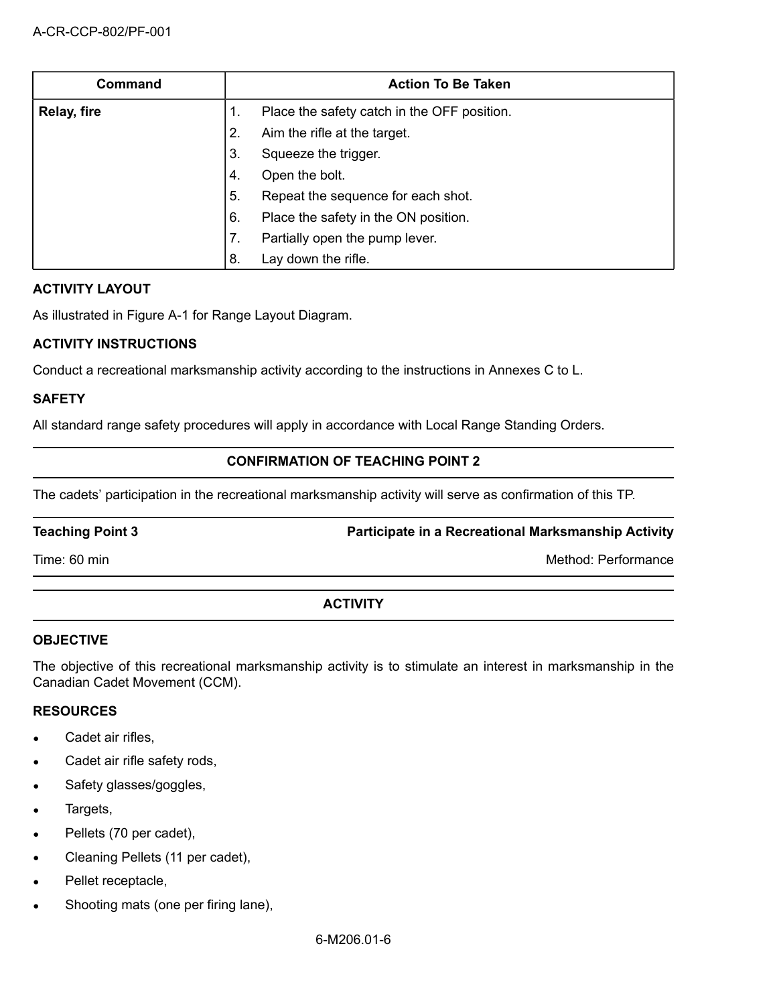| Command     |                 | <b>Action To Be Taken</b>                   |
|-------------|-----------------|---------------------------------------------|
| Relay, fire | 1.              | Place the safety catch in the OFF position. |
|             | $^{\circ}$ 2.   | Aim the rifle at the target.                |
|             | 3.              | Squeeze the trigger.                        |
|             | $\mathsf{I}4$ . | Open the bolt.                              |
|             | 5.              | Repeat the sequence for each shot.          |
|             | 6.              | Place the safety in the ON position.        |
|             | 7.              | Partially open the pump lever.              |
|             | 8.              | Lay down the rifle.                         |

# **ACTIVITY LAYOUT**

As illustrated in Figure A-1 for Range Layout Diagram.

# **ACTIVITY INSTRUCTIONS**

Conduct a recreational marksmanship activity according to the instructions in Annexes C to L.

# **SAFETY**

All standard range safety procedures will apply in accordance with Local Range Standing Orders.

# **CONFIRMATION OF TEACHING POINT 2**

The cadets' participation in the recreational marksmanship activity will serve as confirmation of this TP.

**Teaching Point 3 Participate in a Recreational Marksmanship Activity**

Time: 60 min Method: Performance

### **OBJECTIVE**

The objective of this recreational marksmanship activity is to stimulate an interest in marksmanship in the Canadian Cadet Movement (CCM).

**ACTIVITY**

### **RESOURCES**

- Cadet air rifles.
- Cadet air rifle safety rods,
- Safety glasses/goggles,
- Targets,
- Pellets (70 per cadet),
- Cleaning Pellets (11 per cadet),
- Pellet receptacle,
- Shooting mats (one per firing lane),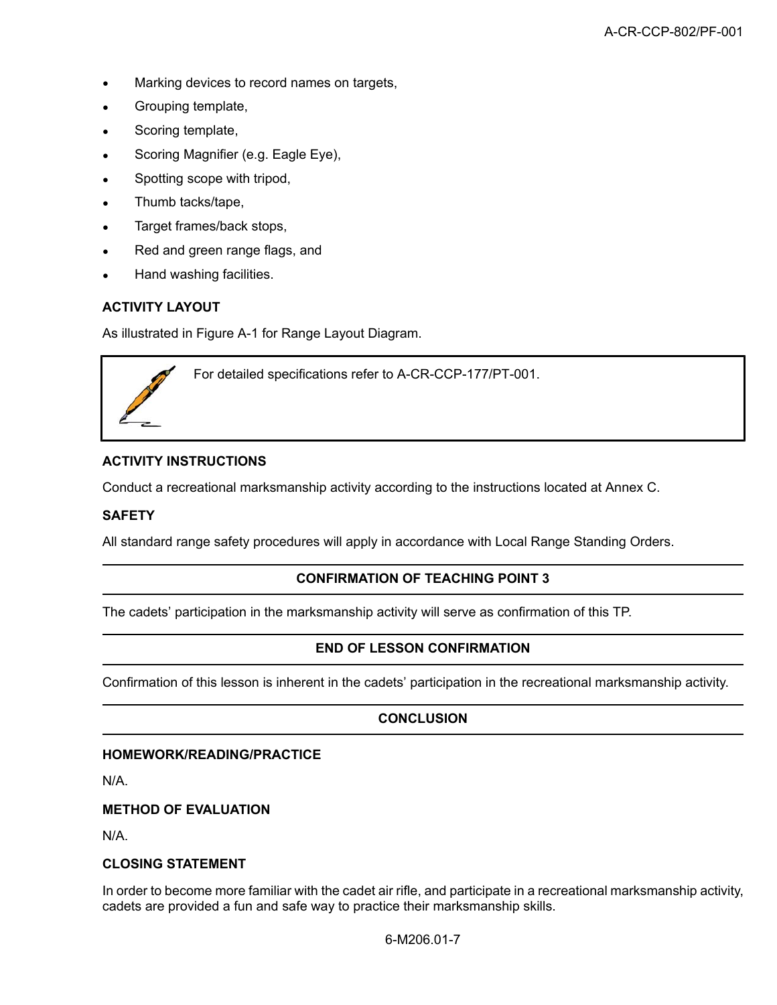- Marking devices to record names on targets,
- Grouping template,
- Scoring template,
- Scoring Magnifier (e.g. Eagle Eye),
- Spotting scope with tripod,
- Thumb tacks/tape,
- Target frames/back stops,
- Red and green range flags, and
- Hand washing facilities.

# **ACTIVITY LAYOUT**

As illustrated in Figure A-1 for Range Layout Diagram.



For detailed specifications refer to A-CR-CCP-177/PT-001.

# **ACTIVITY INSTRUCTIONS**

Conduct a recreational marksmanship activity according to the instructions located at Annex C.

### **SAFETY**

All standard range safety procedures will apply in accordance with Local Range Standing Orders.

### **CONFIRMATION OF TEACHING POINT 3**

The cadets' participation in the marksmanship activity will serve as confirmation of this TP.

### **END OF LESSON CONFIRMATION**

Confirmation of this lesson is inherent in the cadets' participation in the recreational marksmanship activity.

# **CONCLUSION**

### **HOMEWORK/READING/PRACTICE**

N/A.

### **METHOD OF EVALUATION**

N/A.

### **CLOSING STATEMENT**

In order to become more familiar with the cadet air rifle, and participate in a recreational marksmanship activity, cadets are provided a fun and safe way to practice their marksmanship skills.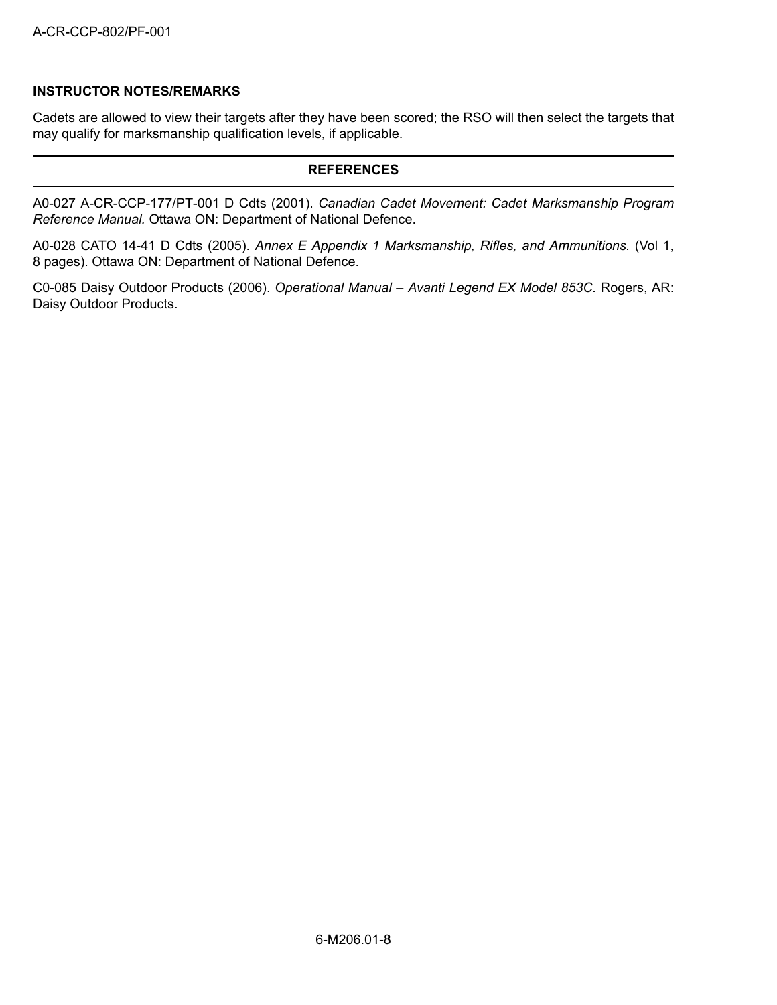### **INSTRUCTOR NOTES/REMARKS**

Cadets are allowed to view their targets after they have been scored; the RSO will then select the targets that may qualify for marksmanship qualification levels, if applicable.

# **REFERENCES**

A0-027 A-CR-CCP-177/PT-001 D Cdts (2001). *Canadian Cadet Movement: Cadet Marksmanship Program Reference Manual.* Ottawa ON: Department of National Defence.

A0-028 CATO 14-41 D Cdts (2005). *Annex E Appendix 1 Marksmanship, Rifles, and Ammunitions.* (Vol 1, 8 pages). Ottawa ON: Department of National Defence.

C0-085 Daisy Outdoor Products (2006). *Operational Manual – Avanti Legend EX Model 853C.* Rogers, AR: Daisy Outdoor Products.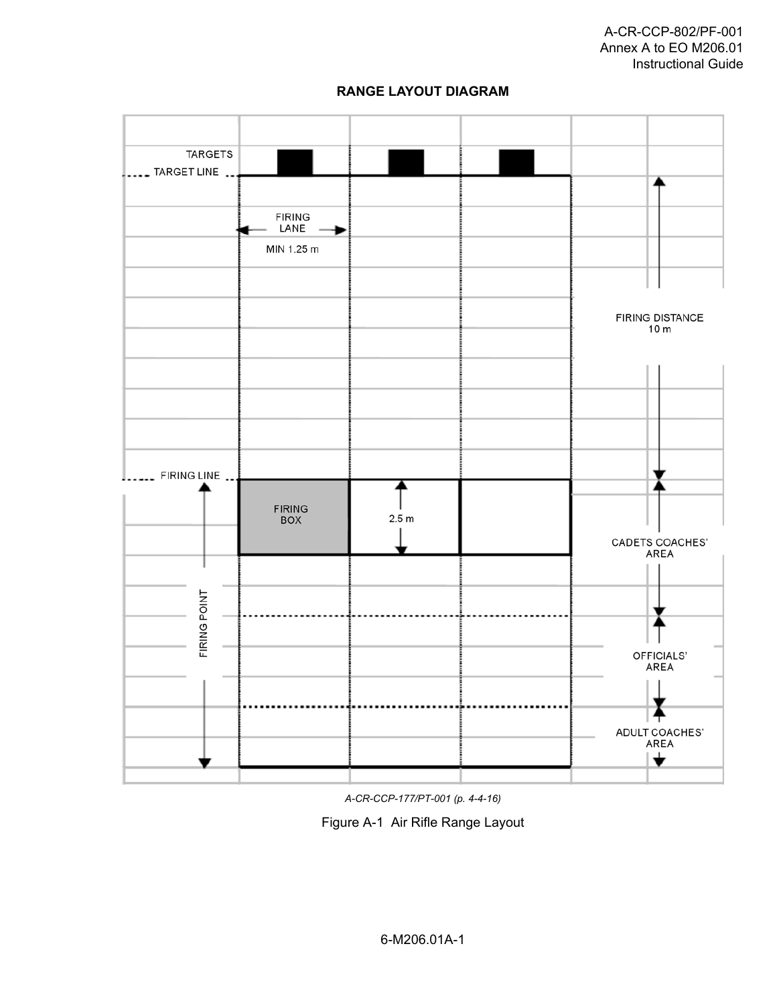A-CR-CCP-802/PF-001 Annex A to EO M206.01 Instructional Guide

# **RANGE LAYOUT DIAGRAM**



*A-CR-CCP-177/PT-001 (p. 4-4-16)*

Figure A-1 Air Rifle Range Layout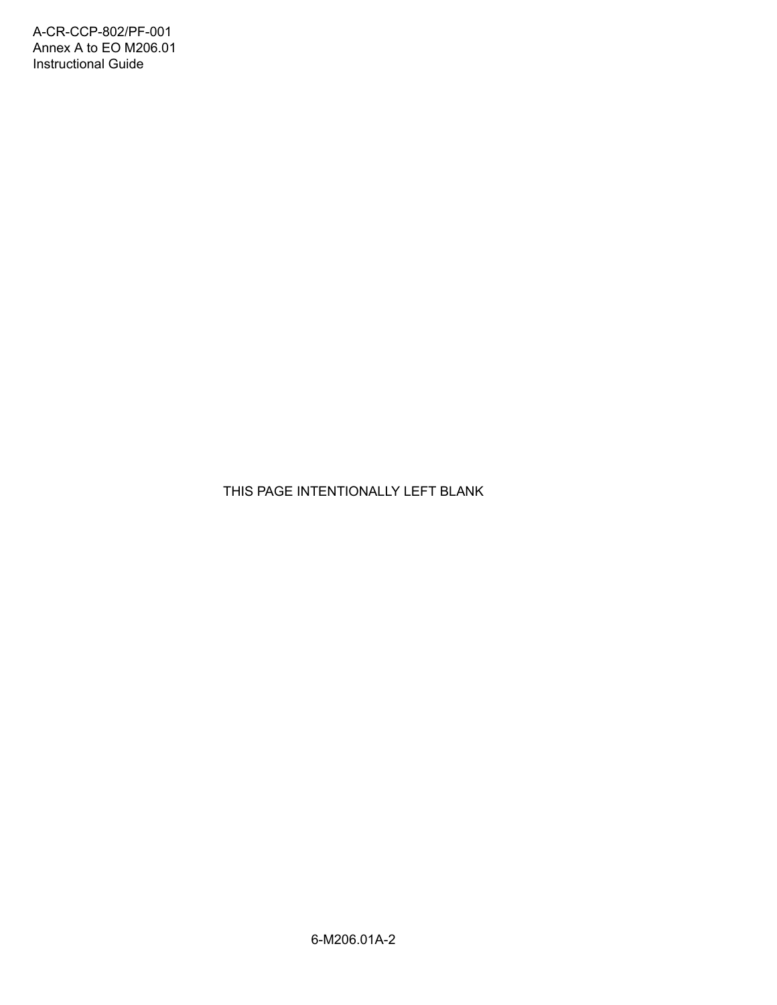THIS PAGE INTENTIONALLY LEFT BLANK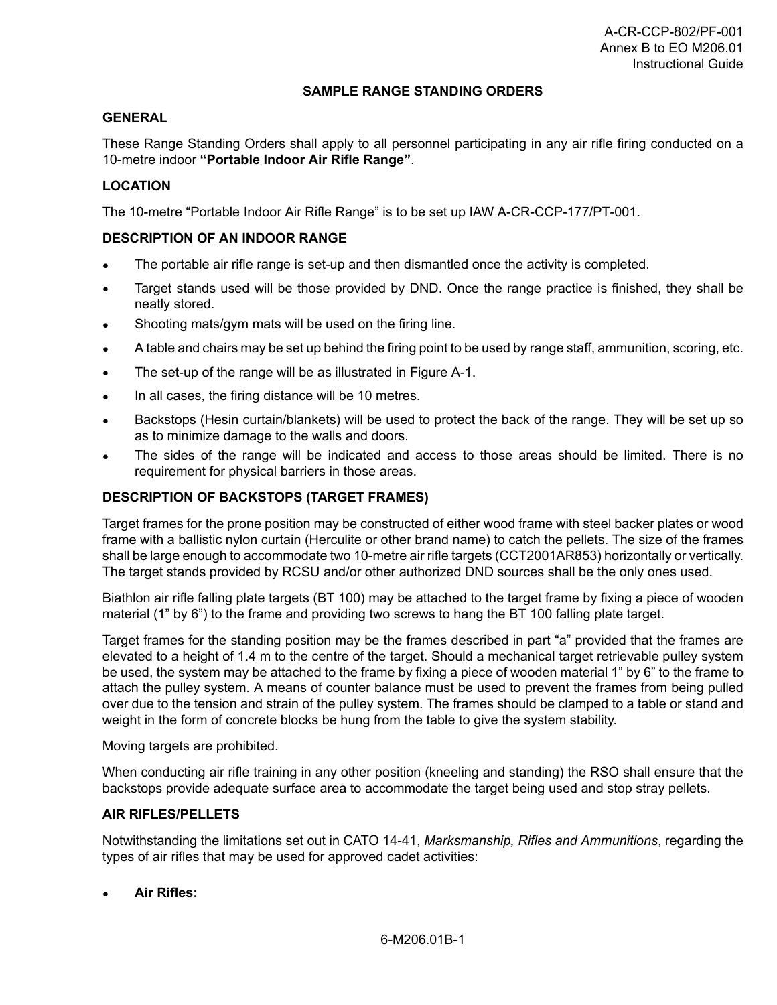### **SAMPLE RANGE STANDING ORDERS**

# **GENERAL**

These Range Standing Orders shall apply to all personnel participating in any air rifle firing conducted on a 10-metre indoor **"Portable Indoor Air Rifle Range"**.

# **LOCATION**

The 10-metre "Portable Indoor Air Rifle Range" is to be set up IAW A-CR-CCP-177/PT-001.

# **DESCRIPTION OF AN INDOOR RANGE**

- The portable air rifle range is set-up and then dismantled once the activity is completed.
- Target stands used will be those provided by DND. Once the range practice is finished, they shall be neatly stored.
- Shooting mats/gym mats will be used on the firing line.
- A table and chairs may be set up behind the firing point to be used by range staff, ammunition, scoring, etc.
- The set-up of the range will be as illustrated in Figure A-1.
- In all cases, the firing distance will be 10 metres.
- Backstops (Hesin curtain/blankets) will be used to protect the back of the range. They will be set up so as to minimize damage to the walls and doors.
- The sides of the range will be indicated and access to those areas should be limited. There is no requirement for physical barriers in those areas.

# **DESCRIPTION OF BACKSTOPS (TARGET FRAMES)**

Target frames for the prone position may be constructed of either wood frame with steel backer plates or wood frame with a ballistic nylon curtain (Herculite or other brand name) to catch the pellets. The size of the frames shall be large enough to accommodate two 10-metre air rifle targets (CCT2001AR853) horizontally or vertically. The target stands provided by RCSU and/or other authorized DND sources shall be the only ones used.

Biathlon air rifle falling plate targets (BT 100) may be attached to the target frame by fixing a piece of wooden material (1" by 6") to the frame and providing two screws to hang the BT 100 falling plate target.

Target frames for the standing position may be the frames described in part "a" provided that the frames are elevated to a height of 1.4 m to the centre of the target. Should a mechanical target retrievable pulley system be used, the system may be attached to the frame by fixing a piece of wooden material 1" by 6" to the frame to attach the pulley system. A means of counter balance must be used to prevent the frames from being pulled over due to the tension and strain of the pulley system. The frames should be clamped to a table or stand and weight in the form of concrete blocks be hung from the table to give the system stability.

Moving targets are prohibited.

When conducting air rifle training in any other position (kneeling and standing) the RSO shall ensure that the backstops provide adequate surface area to accommodate the target being used and stop stray pellets.

### **AIR RIFLES/PELLETS**

Notwithstanding the limitations set out in CATO 14-41, *Marksmanship, Rifles and Ammunitions*, regarding the types of air rifles that may be used for approved cadet activities:

• **Air Rifles:**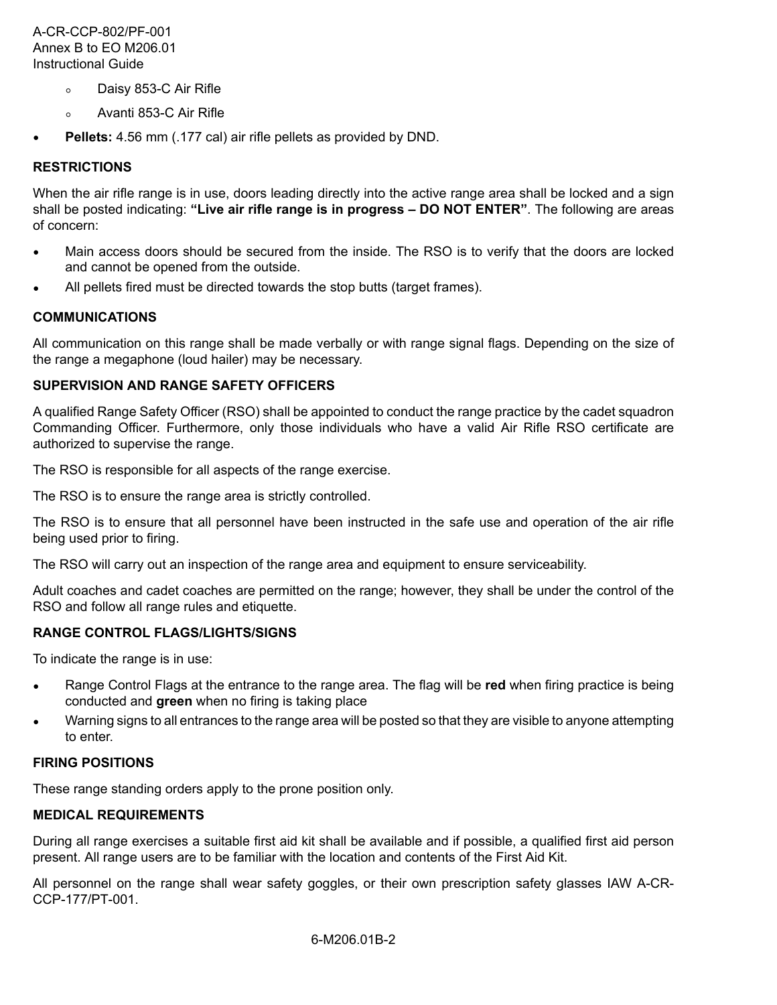- Daisy 853-C Air Rifle
- Avanti 853-C Air Rifle
- **Pellets:** 4.56 mm (.177 cal) air rifle pellets as provided by DND.

# **RESTRICTIONS**

When the air rifle range is in use, doors leading directly into the active range area shall be locked and a sign shall be posted indicating: **"Live air rifle range is in progress – DO NOT ENTER"**. The following are areas of concern:

- Main access doors should be secured from the inside. The RSO is to verify that the doors are locked and cannot be opened from the outside.
- All pellets fired must be directed towards the stop butts (target frames).

### **COMMUNICATIONS**

All communication on this range shall be made verbally or with range signal flags. Depending on the size of the range a megaphone (loud hailer) may be necessary.

### **SUPERVISION AND RANGE SAFETY OFFICERS**

A qualified Range Safety Officer (RSO) shall be appointed to conduct the range practice by the cadet squadron Commanding Officer. Furthermore, only those individuals who have a valid Air Rifle RSO certificate are authorized to supervise the range.

The RSO is responsible for all aspects of the range exercise.

The RSO is to ensure the range area is strictly controlled.

The RSO is to ensure that all personnel have been instructed in the safe use and operation of the air rifle being used prior to firing.

The RSO will carry out an inspection of the range area and equipment to ensure serviceability.

Adult coaches and cadet coaches are permitted on the range; however, they shall be under the control of the RSO and follow all range rules and etiquette.

### **RANGE CONTROL FLAGS/LIGHTS/SIGNS**

To indicate the range is in use:

- Range Control Flags at the entrance to the range area. The flag will be **red** when firing practice is being conducted and **green** when no firing is taking place
- Warning signs to all entrances to the range area will be posted so that they are visible to anyone attempting to enter.

### **FIRING POSITIONS**

These range standing orders apply to the prone position only.

### **MEDICAL REQUIREMENTS**

During all range exercises a suitable first aid kit shall be available and if possible, a qualified first aid person present. All range users are to be familiar with the location and contents of the First Aid Kit.

All personnel on the range shall wear safety goggles, or their own prescription safety glasses IAW A-CR-CCP-177/PT-001.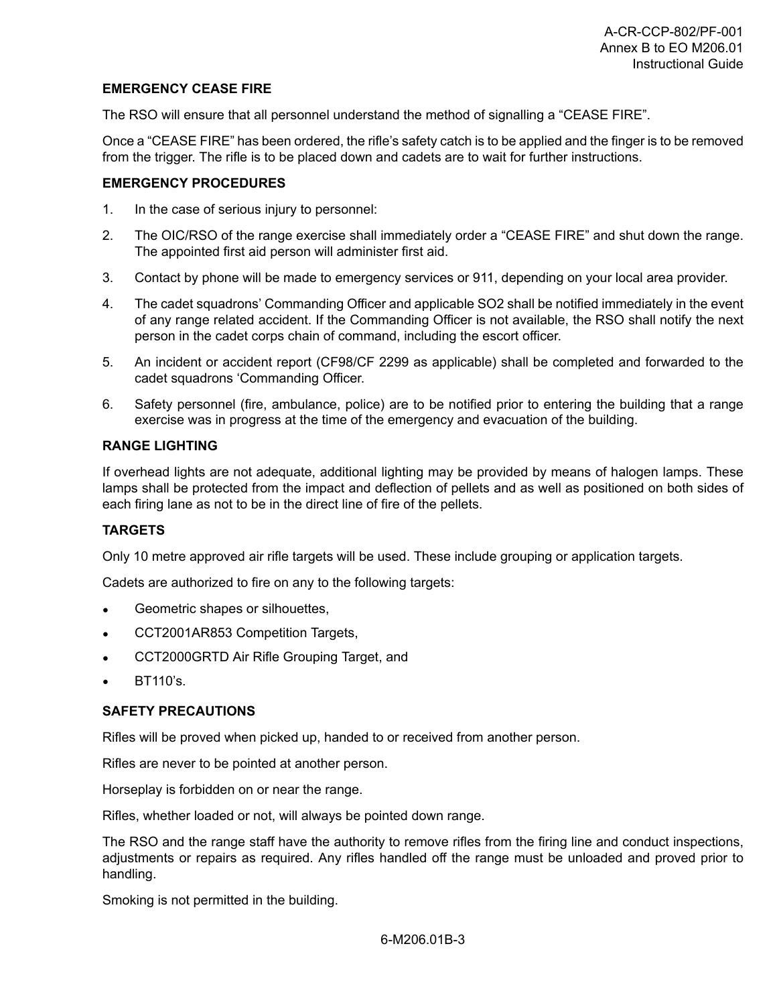# **EMERGENCY CEASE FIRE**

The RSO will ensure that all personnel understand the method of signalling a "CEASE FIRE".

Once a "CEASE FIRE" has been ordered, the rifle's safety catch is to be applied and the finger is to be removed from the trigger. The rifle is to be placed down and cadets are to wait for further instructions.

### **EMERGENCY PROCEDURES**

- 1. In the case of serious injury to personnel:
- 2. The OIC/RSO of the range exercise shall immediately order a "CEASE FIRE" and shut down the range. The appointed first aid person will administer first aid.
- 3. Contact by phone will be made to emergency services or 911, depending on your local area provider.
- 4. The cadet squadrons' Commanding Officer and applicable SO2 shall be notified immediately in the event of any range related accident. If the Commanding Officer is not available, the RSO shall notify the next person in the cadet corps chain of command, including the escort officer.
- 5. An incident or accident report (CF98/CF 2299 as applicable) shall be completed and forwarded to the cadet squadrons 'Commanding Officer.
- 6. Safety personnel (fire, ambulance, police) are to be notified prior to entering the building that a range exercise was in progress at the time of the emergency and evacuation of the building.

### **RANGE LIGHTING**

If overhead lights are not adequate, additional lighting may be provided by means of halogen lamps. These lamps shall be protected from the impact and deflection of pellets and as well as positioned on both sides of each firing lane as not to be in the direct line of fire of the pellets.

## **TARGETS**

Only 10 metre approved air rifle targets will be used. These include grouping or application targets.

Cadets are authorized to fire on any to the following targets:

- Geometric shapes or silhouettes,
- CCT2001AR853 Competition Targets,
- CCT2000GRTD Air Rifle Grouping Target, and
- BT110's.

### **SAFETY PRECAUTIONS**

Rifles will be proved when picked up, handed to or received from another person.

Rifles are never to be pointed at another person.

Horseplay is forbidden on or near the range.

Rifles, whether loaded or not, will always be pointed down range.

The RSO and the range staff have the authority to remove rifles from the firing line and conduct inspections, adjustments or repairs as required. Any rifles handled off the range must be unloaded and proved prior to handling.

Smoking is not permitted in the building.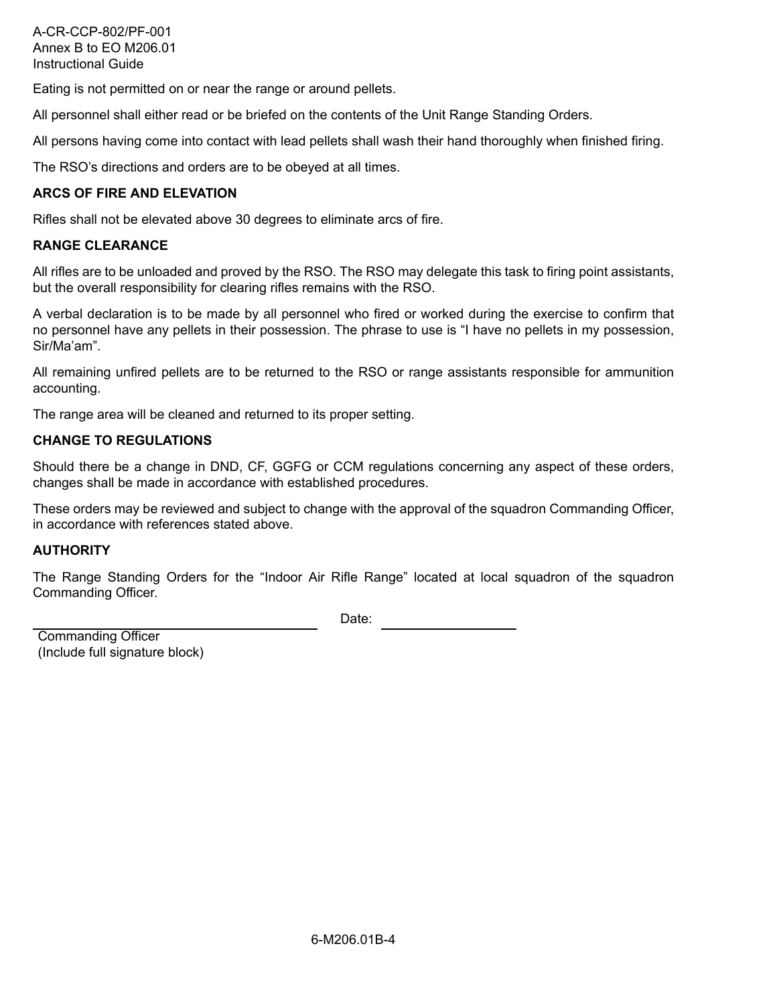Eating is not permitted on or near the range or around pellets.

All personnel shall either read or be briefed on the contents of the Unit Range Standing Orders.

All persons having come into contact with lead pellets shall wash their hand thoroughly when finished firing.

The RSO's directions and orders are to be obeyed at all times.

# **ARCS OF FIRE AND ELEVATION**

Rifles shall not be elevated above 30 degrees to eliminate arcs of fire.

### **RANGE CLEARANCE**

All rifles are to be unloaded and proved by the RSO. The RSO may delegate this task to firing point assistants, but the overall responsibility for clearing rifles remains with the RSO.

A verbal declaration is to be made by all personnel who fired or worked during the exercise to confirm that no personnel have any pellets in their possession. The phrase to use is "I have no pellets in my possession, Sir/Ma'am".

All remaining unfired pellets are to be returned to the RSO or range assistants responsible for ammunition accounting.

The range area will be cleaned and returned to its proper setting.

# **CHANGE TO REGULATIONS**

Should there be a change in DND, CF, GGFG or CCM regulations concerning any aspect of these orders, changes shall be made in accordance with established procedures.

These orders may be reviewed and subject to change with the approval of the squadron Commanding Officer, in accordance with references stated above.

# **AUTHORITY**

The Range Standing Orders for the "Indoor Air Rifle Range" located at local squadron of the squadron Commanding Officer.

Date:

Commanding Officer (Include full signature block)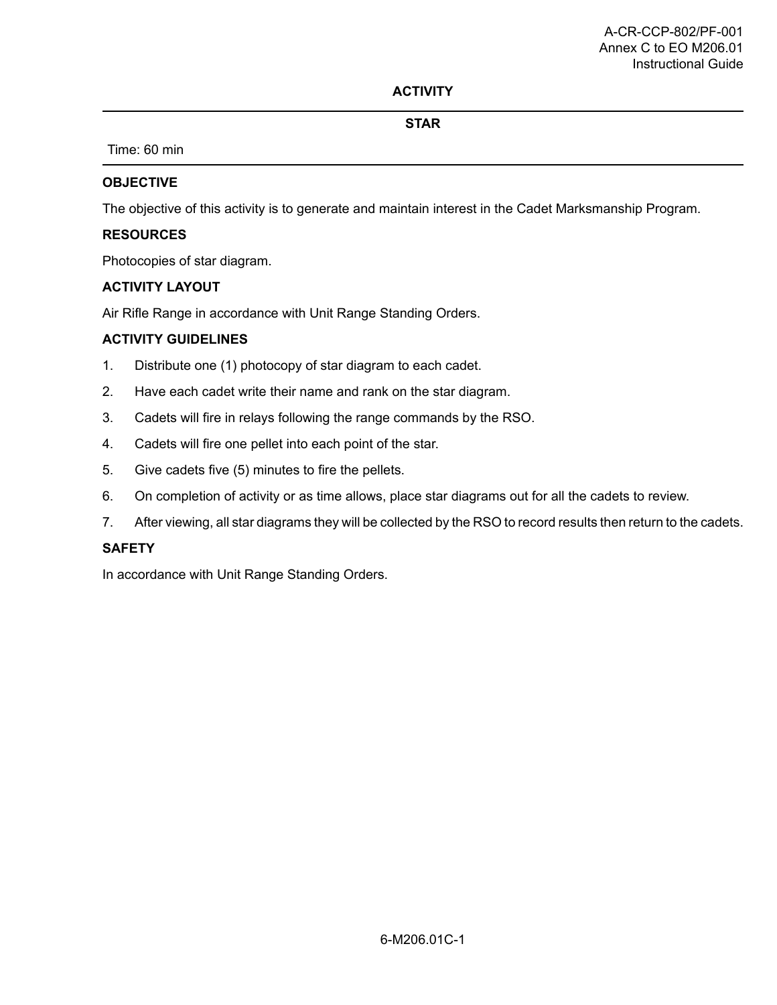# **ACTIVITY**

# **STAR**

Time: 60 min

# **OBJECTIVE**

The objective of this activity is to generate and maintain interest in the Cadet Marksmanship Program.

# **RESOURCES**

Photocopies of star diagram.

# **ACTIVITY LAYOUT**

Air Rifle Range in accordance with Unit Range Standing Orders.

# **ACTIVITY GUIDELINES**

- 1. Distribute one (1) photocopy of star diagram to each cadet.
- 2. Have each cadet write their name and rank on the star diagram.
- 3. Cadets will fire in relays following the range commands by the RSO.
- 4. Cadets will fire one pellet into each point of the star.
- 5. Give cadets five (5) minutes to fire the pellets.
- 6. On completion of activity or as time allows, place star diagrams out for all the cadets to review.
- 7. After viewing, all star diagrams they will be collected by the RSO to record results then return to the cadets.

### **SAFETY**

In accordance with Unit Range Standing Orders.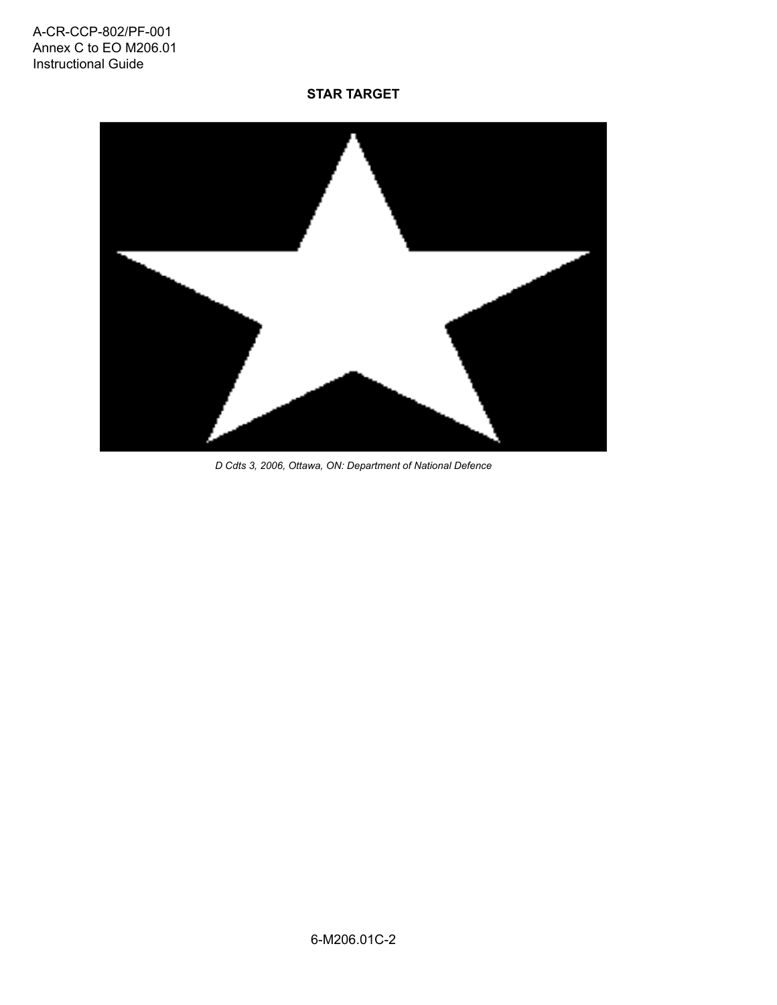### **STAR TARGET**



*D Cdts 3, 2006, Ottawa, ON: Department of National Defence*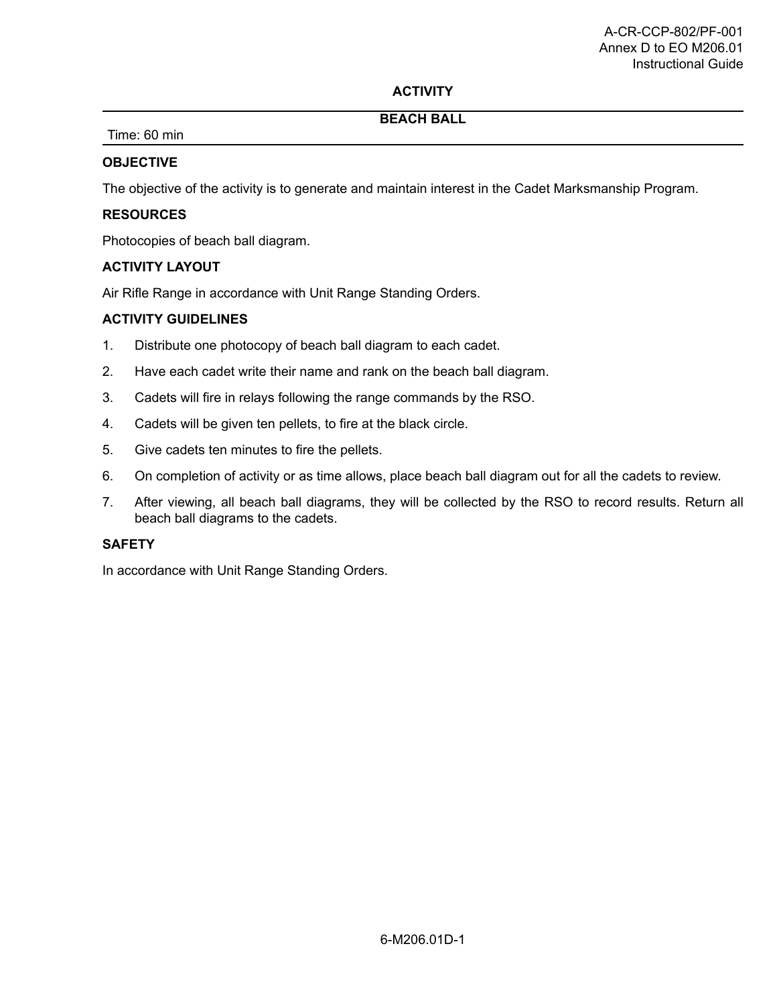# **ACTIVITY**

# **BEACH BALL**

# Time: 60 min

# **OBJECTIVE**

The objective of the activity is to generate and maintain interest in the Cadet Marksmanship Program.

# **RESOURCES**

Photocopies of beach ball diagram.

# **ACTIVITY LAYOUT**

Air Rifle Range in accordance with Unit Range Standing Orders.

# **ACTIVITY GUIDELINES**

- 1. Distribute one photocopy of beach ball diagram to each cadet.
- 2. Have each cadet write their name and rank on the beach ball diagram.
- 3. Cadets will fire in relays following the range commands by the RSO.
- 4. Cadets will be given ten pellets, to fire at the black circle.
- 5. Give cadets ten minutes to fire the pellets.
- 6. On completion of activity or as time allows, place beach ball diagram out for all the cadets to review.
- 7. After viewing, all beach ball diagrams, they will be collected by the RSO to record results. Return all beach ball diagrams to the cadets.

# **SAFETY**

In accordance with Unit Range Standing Orders.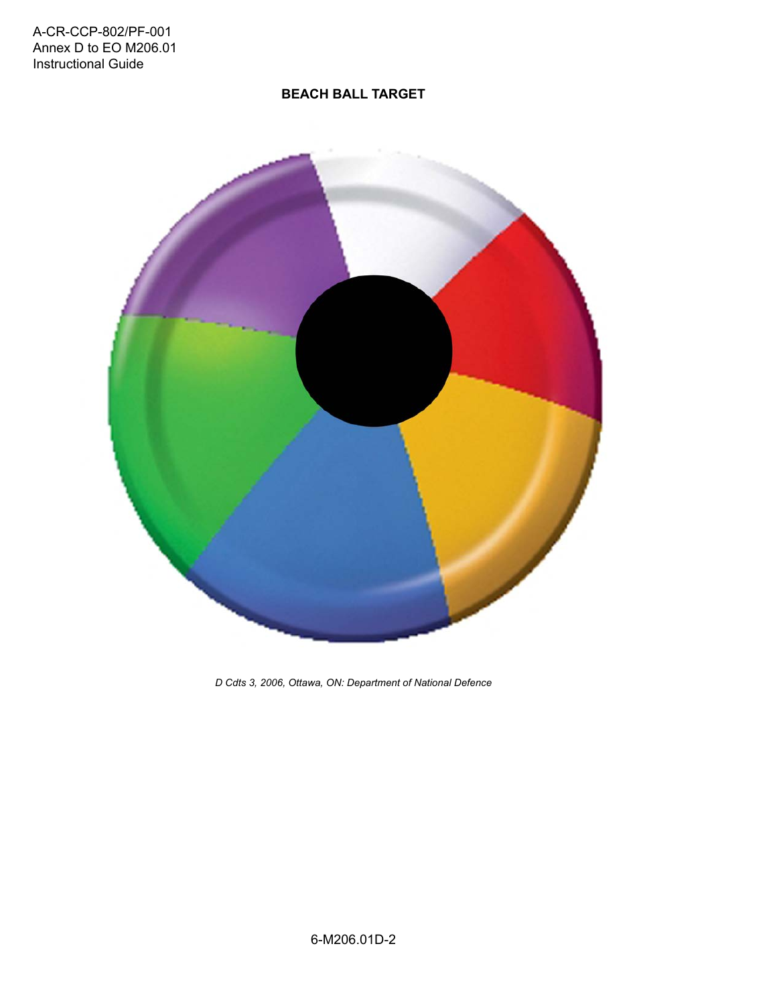# **BEACH BALL TARGET**



*D Cdts 3, 2006, Ottawa, ON: Department of National Defence*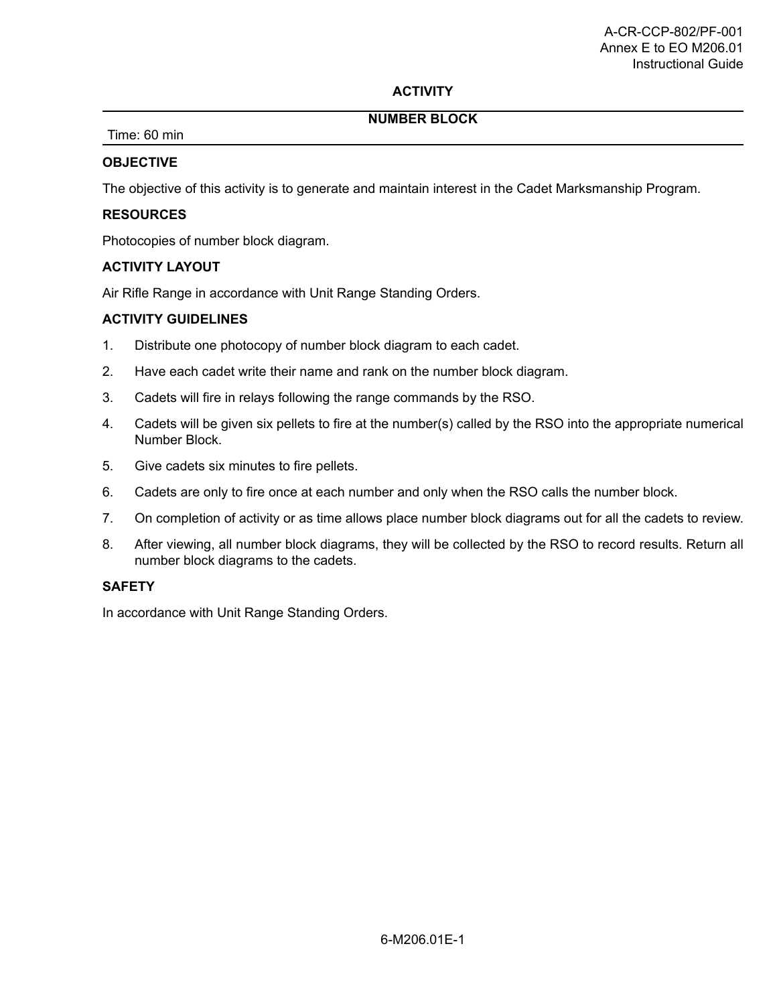# **ACTIVITY**

# **NUMBER BLOCK**

# Time: 60 min

# **OBJECTIVE**

The objective of this activity is to generate and maintain interest in the Cadet Marksmanship Program.

# **RESOURCES**

Photocopies of number block diagram.

### **ACTIVITY LAYOUT**

Air Rifle Range in accordance with Unit Range Standing Orders.

### **ACTIVITY GUIDELINES**

- 1. Distribute one photocopy of number block diagram to each cadet.
- 2. Have each cadet write their name and rank on the number block diagram.
- 3. Cadets will fire in relays following the range commands by the RSO.
- 4. Cadets will be given six pellets to fire at the number(s) called by the RSO into the appropriate numerical Number Block.
- 5. Give cadets six minutes to fire pellets.
- 6. Cadets are only to fire once at each number and only when the RSO calls the number block.
- 7. On completion of activity or as time allows place number block diagrams out for all the cadets to review.
- 8. After viewing, all number block diagrams, they will be collected by the RSO to record results. Return all number block diagrams to the cadets.

### **SAFETY**

In accordance with Unit Range Standing Orders.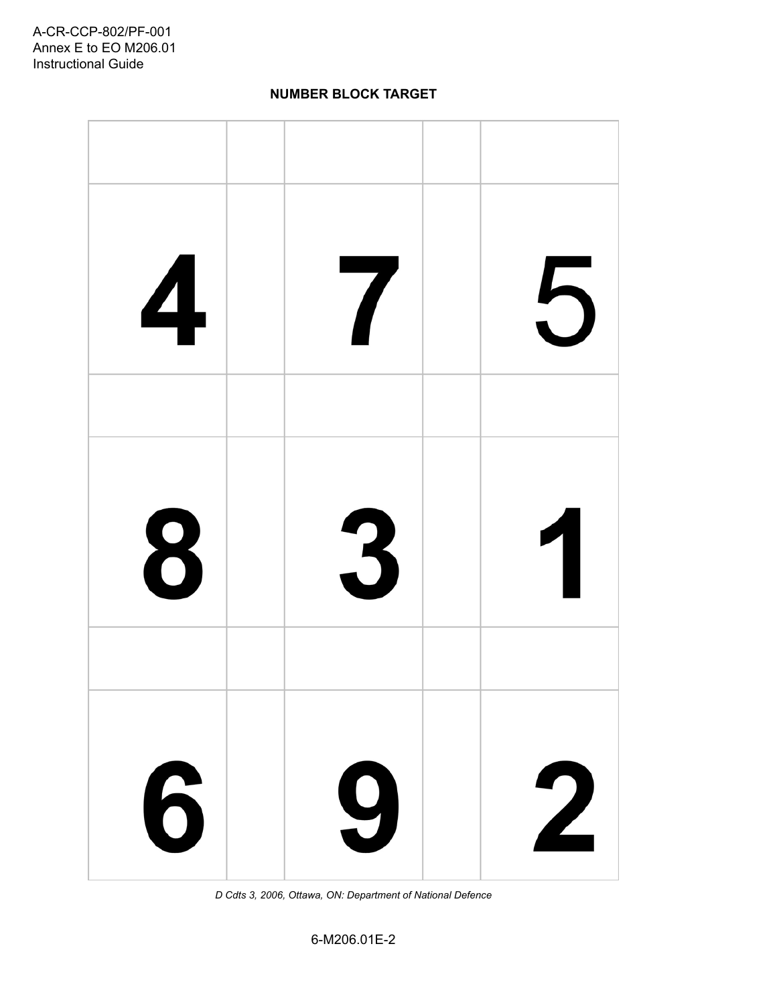# **NUMBER BLOCK TARGET**



*D Cdts 3, 2006, Ottawa, ON: Department of National Defence*

6-M206.01E-2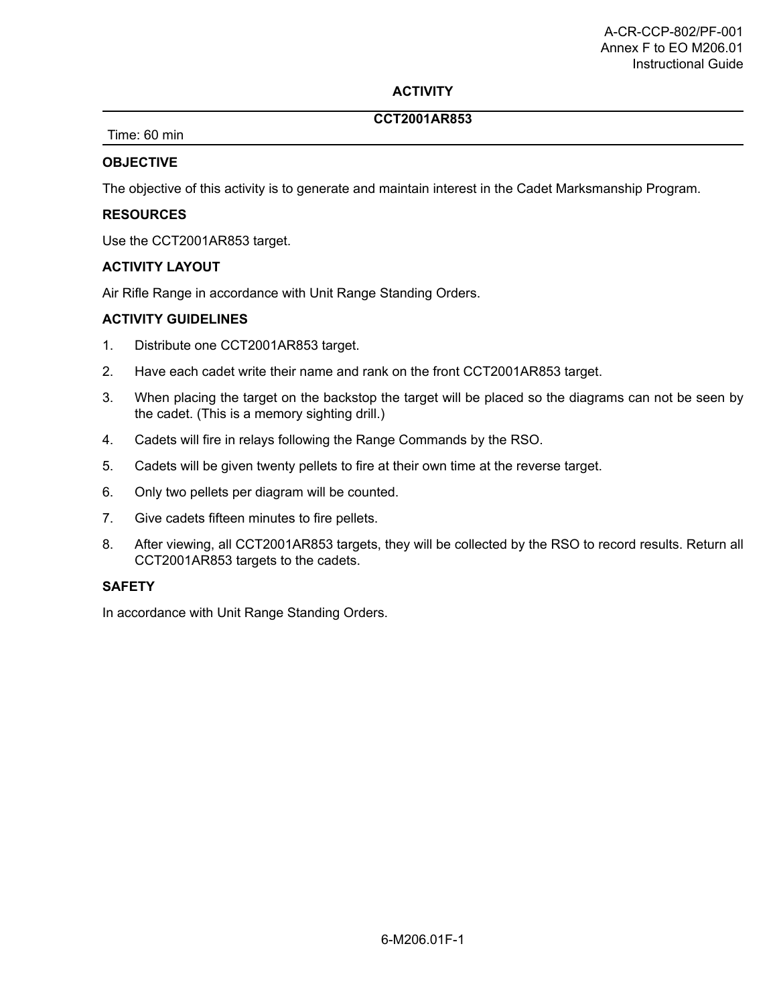# **ACTIVITY**

# **CCT2001AR853**

### Time: 60 min

### **OBJECTIVE**

The objective of this activity is to generate and maintain interest in the Cadet Marksmanship Program.

### **RESOURCES**

Use the CCT2001AR853 target.

### **ACTIVITY LAYOUT**

Air Rifle Range in accordance with Unit Range Standing Orders.

### **ACTIVITY GUIDELINES**

- 1. Distribute one CCT2001AR853 target.
- 2. Have each cadet write their name and rank on the front CCT2001AR853 target.
- 3. When placing the target on the backstop the target will be placed so the diagrams can not be seen by the cadet. (This is a memory sighting drill.)
- 4. Cadets will fire in relays following the Range Commands by the RSO.
- 5. Cadets will be given twenty pellets to fire at their own time at the reverse target.
- 6. Only two pellets per diagram will be counted.
- 7. Give cadets fifteen minutes to fire pellets.
- 8. After viewing, all CCT2001AR853 targets, they will be collected by the RSO to record results. Return all CCT2001AR853 targets to the cadets.

### **SAFETY**

In accordance with Unit Range Standing Orders.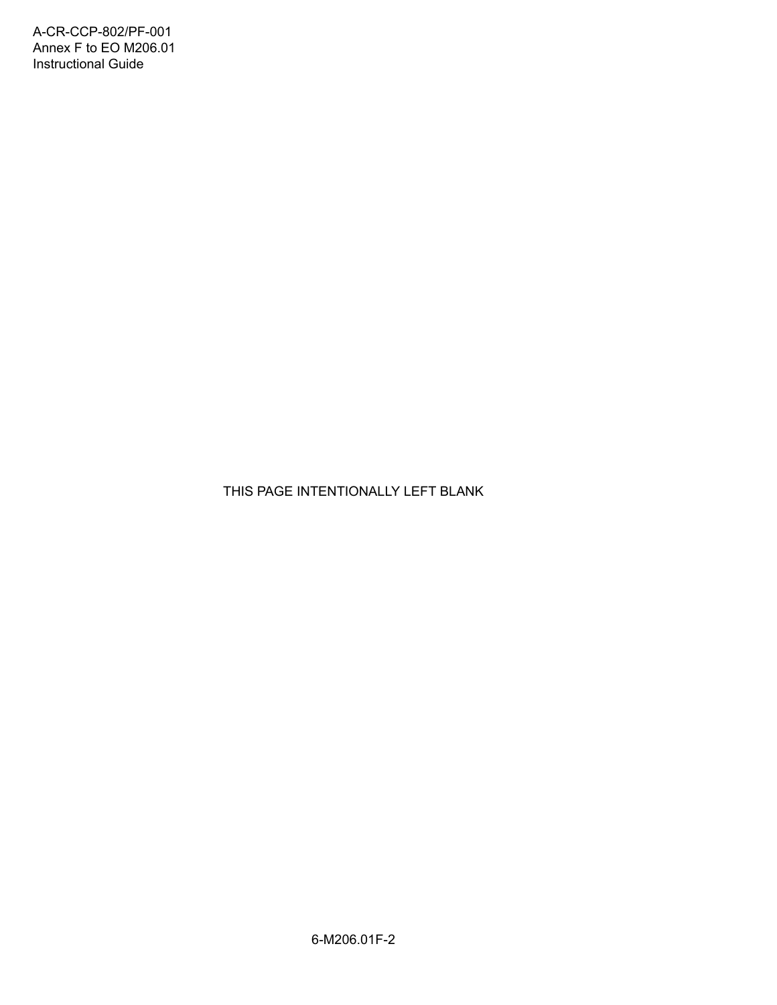THIS PAGE INTENTIONALLY LEFT BLANK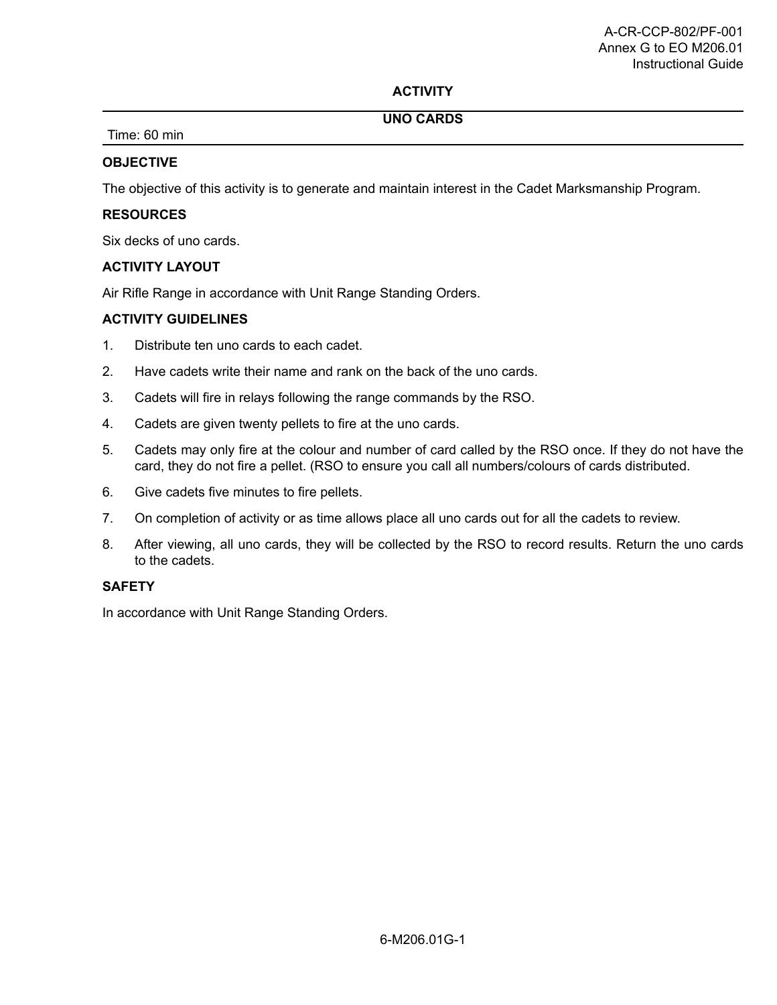# **ACTIVITY**

# **UNO CARDS**

### Time: 60 min

# **OBJECTIVE**

The objective of this activity is to generate and maintain interest in the Cadet Marksmanship Program.

### **RESOURCES**

Six decks of uno cards.

# **ACTIVITY LAYOUT**

Air Rifle Range in accordance with Unit Range Standing Orders.

# **ACTIVITY GUIDELINES**

- 1. Distribute ten uno cards to each cadet.
- 2. Have cadets write their name and rank on the back of the uno cards.
- 3. Cadets will fire in relays following the range commands by the RSO.
- 4. Cadets are given twenty pellets to fire at the uno cards.
- 5. Cadets may only fire at the colour and number of card called by the RSO once. If they do not have the card, they do not fire a pellet. (RSO to ensure you call all numbers/colours of cards distributed.
- 6. Give cadets five minutes to fire pellets.
- 7. On completion of activity or as time allows place all uno cards out for all the cadets to review.
- 8. After viewing, all uno cards, they will be collected by the RSO to record results. Return the uno cards to the cadets.

### **SAFETY**

In accordance with Unit Range Standing Orders.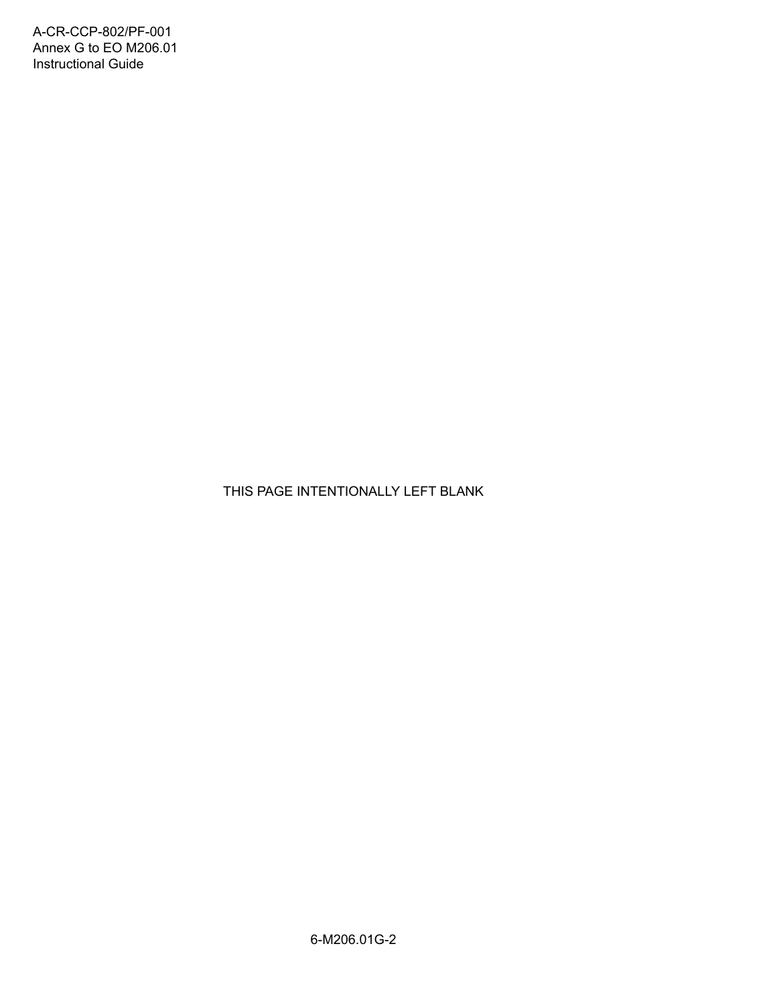THIS PAGE INTENTIONALLY LEFT BLANK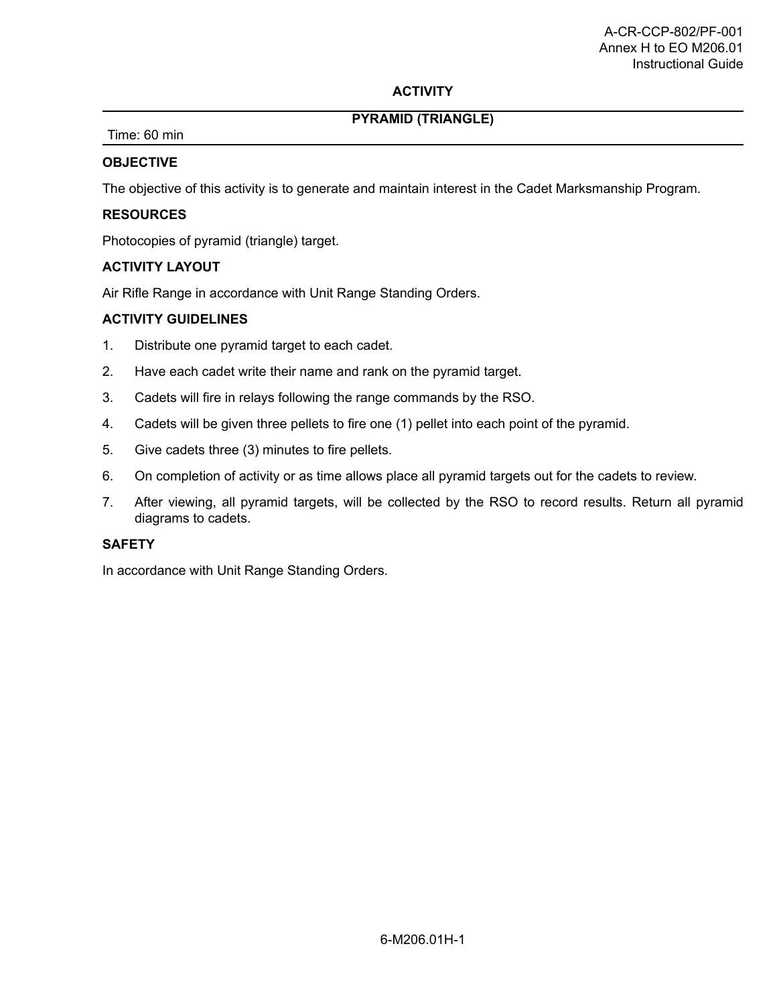# **ACTIVITY**

# **PYRAMID (TRIANGLE)**

# Time: 60 min

# **OBJECTIVE**

The objective of this activity is to generate and maintain interest in the Cadet Marksmanship Program.

# **RESOURCES**

Photocopies of pyramid (triangle) target.

# **ACTIVITY LAYOUT**

Air Rifle Range in accordance with Unit Range Standing Orders.

# **ACTIVITY GUIDELINES**

- 1. Distribute one pyramid target to each cadet.
- 2. Have each cadet write their name and rank on the pyramid target.
- 3. Cadets will fire in relays following the range commands by the RSO.
- 4. Cadets will be given three pellets to fire one (1) pellet into each point of the pyramid.
- 5. Give cadets three (3) minutes to fire pellets.
- 6. On completion of activity or as time allows place all pyramid targets out for the cadets to review.
- 7. After viewing, all pyramid targets, will be collected by the RSO to record results. Return all pyramid diagrams to cadets.

# **SAFETY**

In accordance with Unit Range Standing Orders.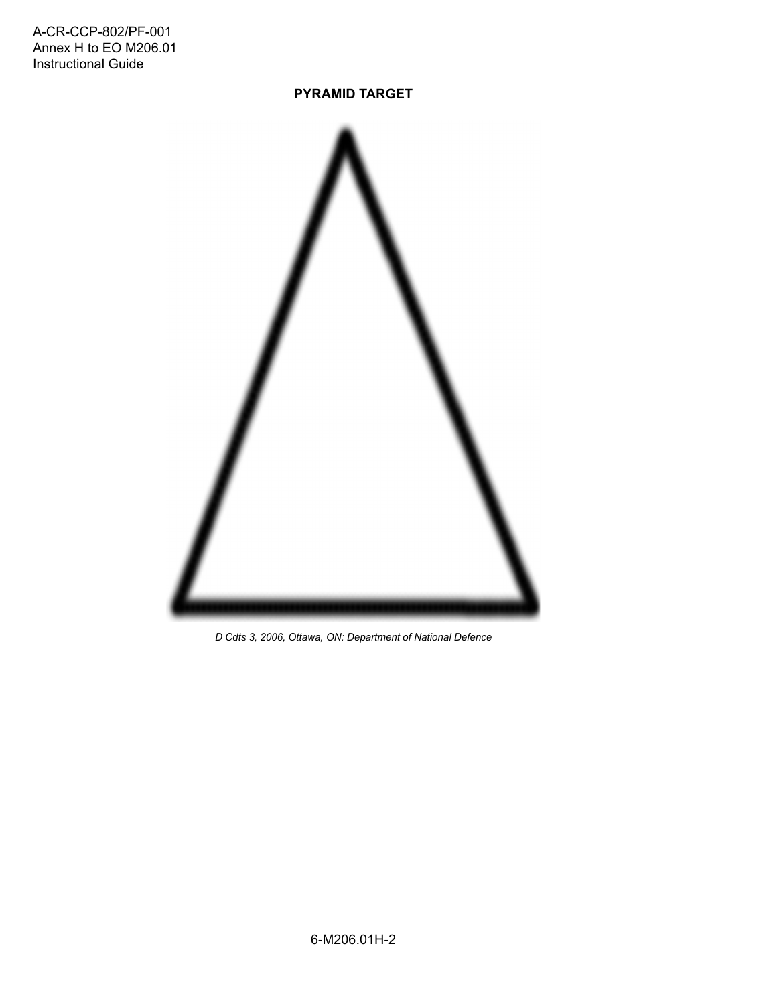# **PYRAMID TARGET**



*D Cdts 3, 2006, Ottawa, ON: Department of National Defence*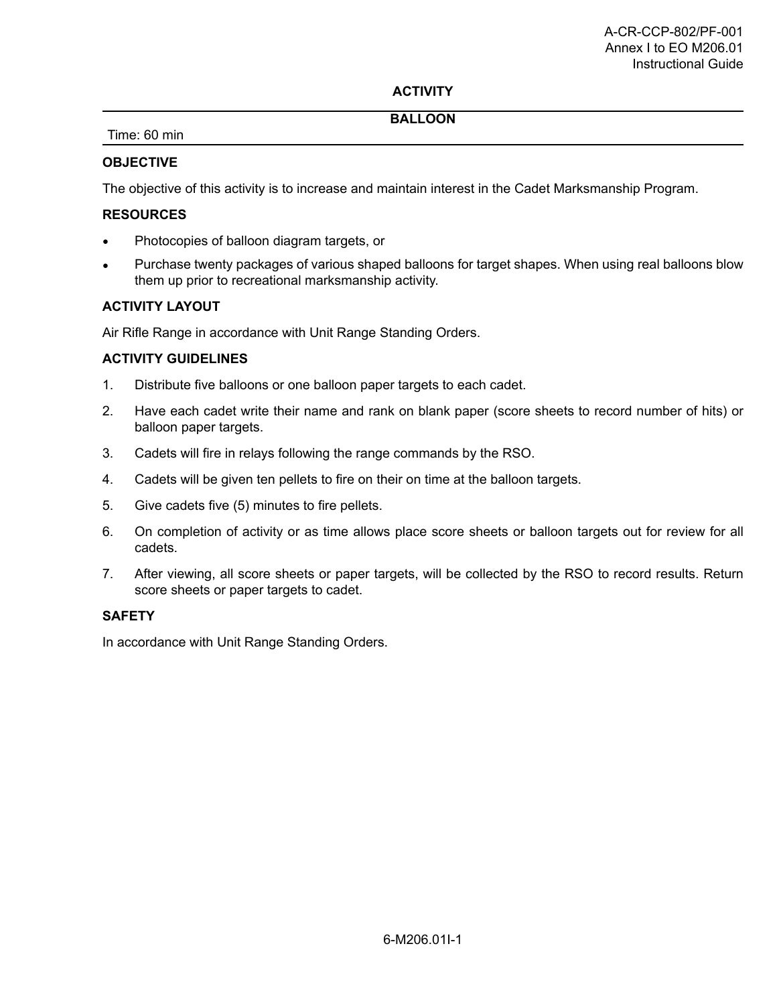## **ACTIVITY**

# **BALLOON**

Time: 60 min

### **OBJECTIVE**

The objective of this activity is to increase and maintain interest in the Cadet Marksmanship Program.

### **RESOURCES**

- Photocopies of balloon diagram targets, or
- Purchase twenty packages of various shaped balloons for target shapes. When using real balloons blow them up prior to recreational marksmanship activity.

### **ACTIVITY LAYOUT**

Air Rifle Range in accordance with Unit Range Standing Orders.

### **ACTIVITY GUIDELINES**

- 1. Distribute five balloons or one balloon paper targets to each cadet.
- 2. Have each cadet write their name and rank on blank paper (score sheets to record number of hits) or balloon paper targets.
- 3. Cadets will fire in relays following the range commands by the RSO.
- 4. Cadets will be given ten pellets to fire on their on time at the balloon targets.
- 5. Give cadets five (5) minutes to fire pellets.
- 6. On completion of activity or as time allows place score sheets or balloon targets out for review for all cadets.
- 7. After viewing, all score sheets or paper targets, will be collected by the RSO to record results. Return score sheets or paper targets to cadet.

### **SAFETY**

In accordance with Unit Range Standing Orders.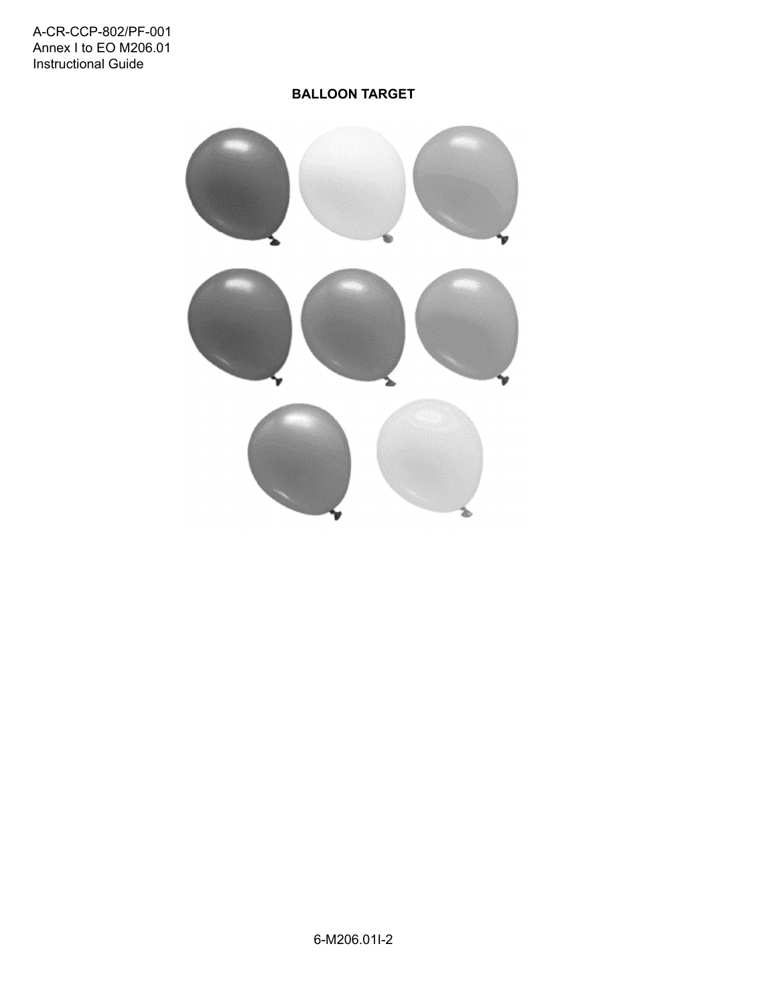# **BALLOON TARGET**

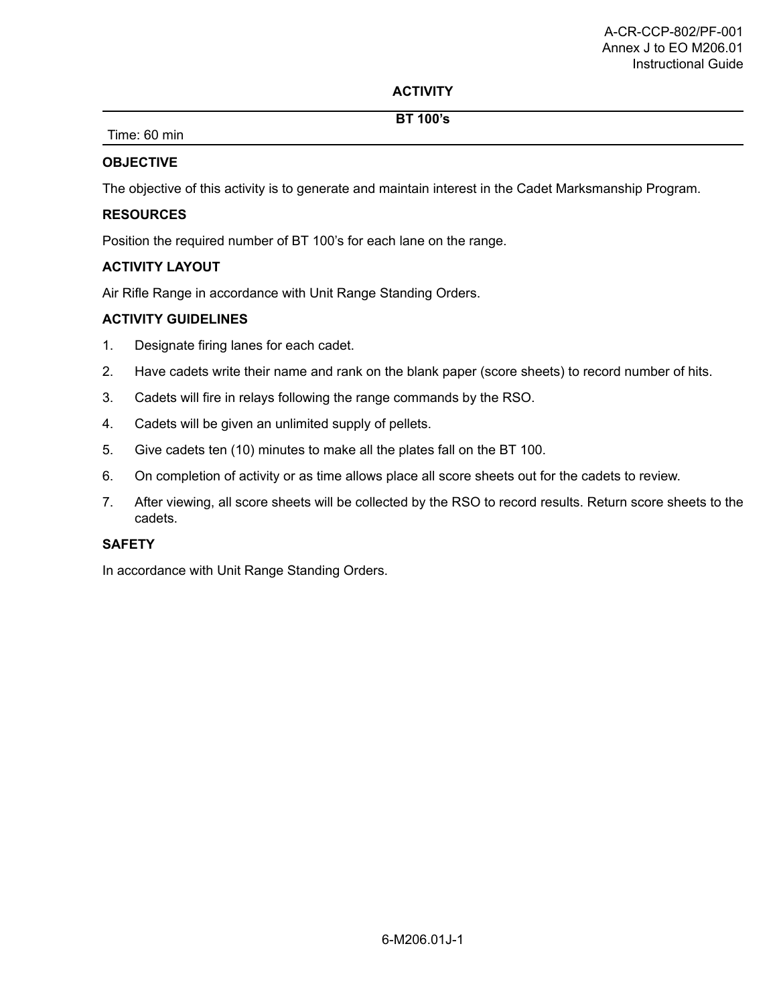# **ACTIVITY**

# **BT 100's**

# Time: 60 min

# **OBJECTIVE**

The objective of this activity is to generate and maintain interest in the Cadet Marksmanship Program.

# **RESOURCES**

Position the required number of BT 100's for each lane on the range.

# **ACTIVITY LAYOUT**

Air Rifle Range in accordance with Unit Range Standing Orders.

# **ACTIVITY GUIDELINES**

- 1. Designate firing lanes for each cadet.
- 2. Have cadets write their name and rank on the blank paper (score sheets) to record number of hits.
- 3. Cadets will fire in relays following the range commands by the RSO.
- 4. Cadets will be given an unlimited supply of pellets.
- 5. Give cadets ten (10) minutes to make all the plates fall on the BT 100.
- 6. On completion of activity or as time allows place all score sheets out for the cadets to review.
- 7. After viewing, all score sheets will be collected by the RSO to record results. Return score sheets to the cadets.

# **SAFETY**

In accordance with Unit Range Standing Orders.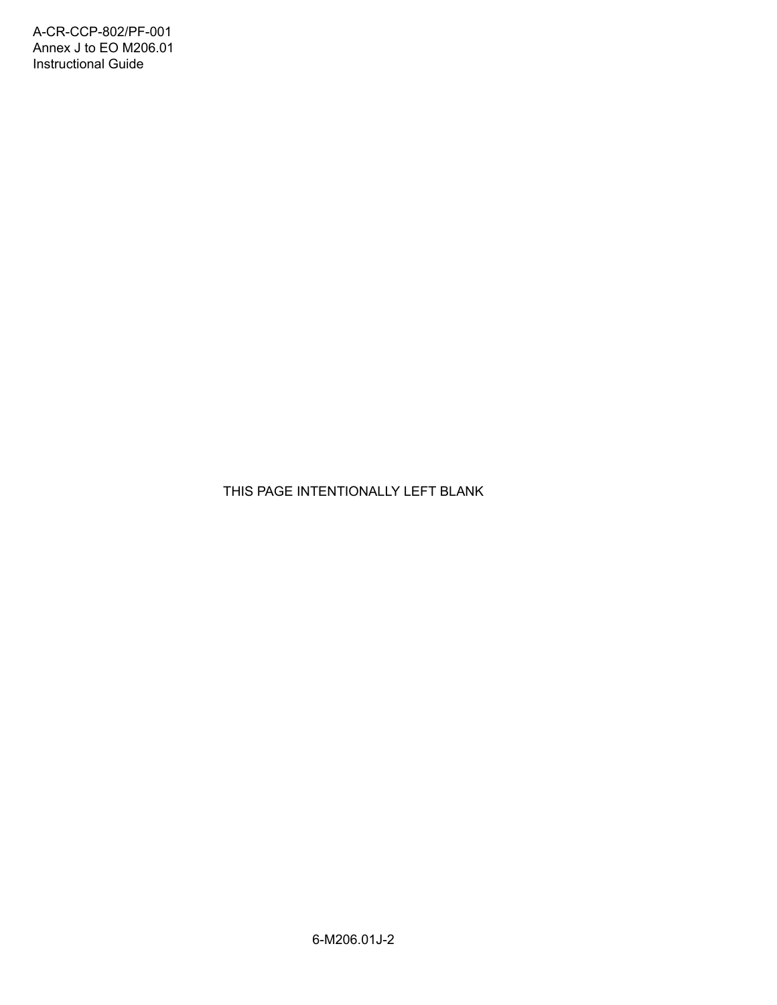THIS PAGE INTENTIONALLY LEFT BLANK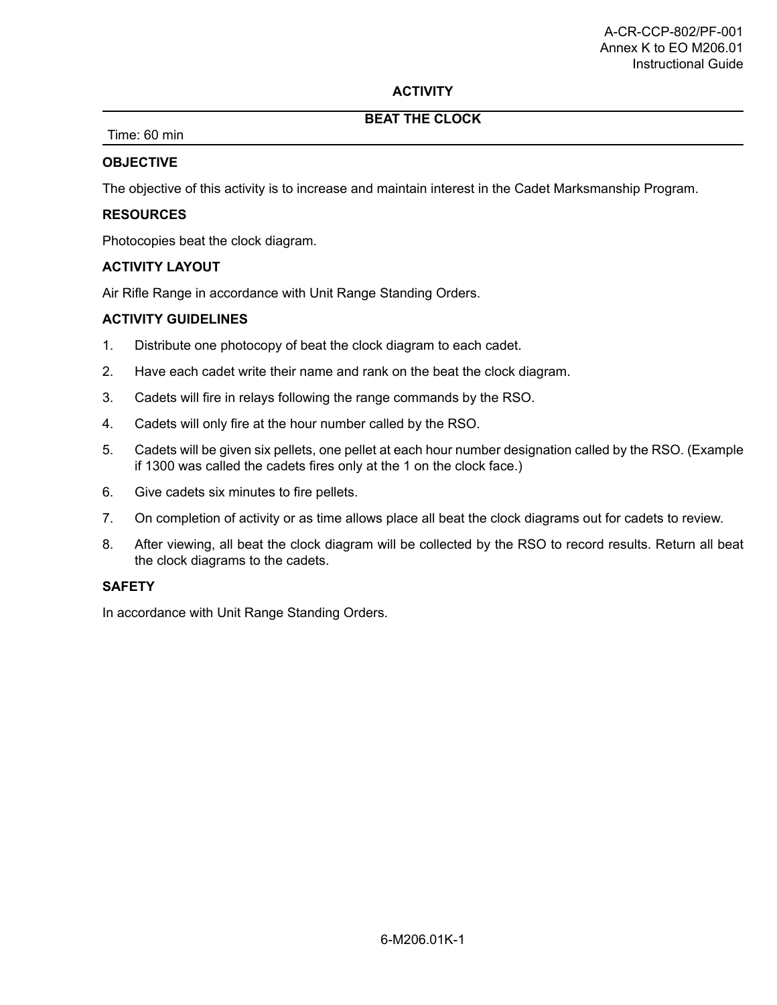# **ACTIVITY**

# **BEAT THE CLOCK**

## Time: 60 min

### **OBJECTIVE**

The objective of this activity is to increase and maintain interest in the Cadet Marksmanship Program.

### **RESOURCES**

Photocopies beat the clock diagram.

### **ACTIVITY LAYOUT**

Air Rifle Range in accordance with Unit Range Standing Orders.

### **ACTIVITY GUIDELINES**

- 1. Distribute one photocopy of beat the clock diagram to each cadet.
- 2. Have each cadet write their name and rank on the beat the clock diagram.
- 3. Cadets will fire in relays following the range commands by the RSO.
- 4. Cadets will only fire at the hour number called by the RSO.
- 5. Cadets will be given six pellets, one pellet at each hour number designation called by the RSO. (Example if 1300 was called the cadets fires only at the 1 on the clock face.)
- 6. Give cadets six minutes to fire pellets.
- 7. On completion of activity or as time allows place all beat the clock diagrams out for cadets to review.
- 8. After viewing, all beat the clock diagram will be collected by the RSO to record results. Return all beat the clock diagrams to the cadets.

### **SAFETY**

In accordance with Unit Range Standing Orders.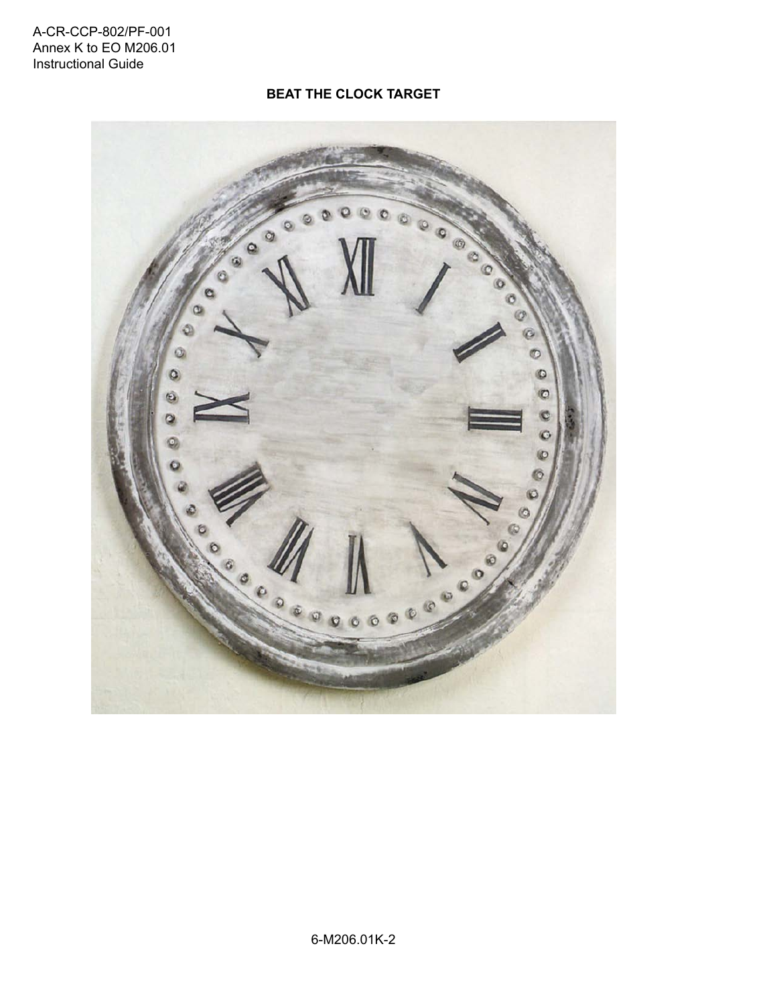# **BEAT THE CLOCK TARGET**

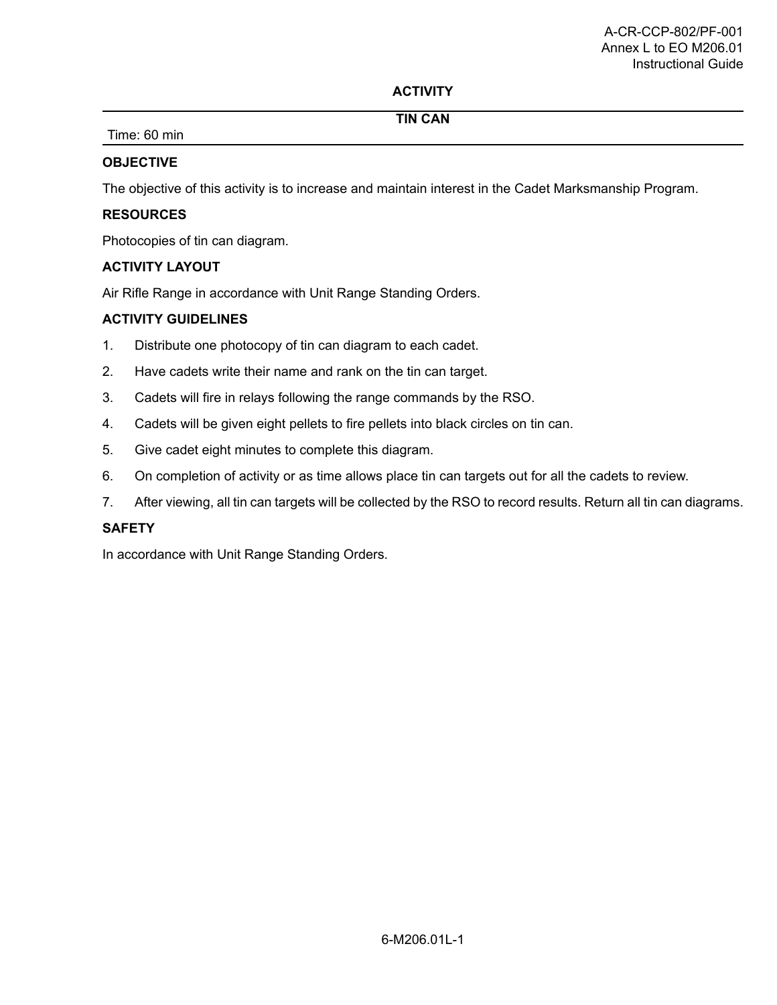# **ACTIVITY**

# **TIN CAN**

# Time: 60 min

# **OBJECTIVE**

The objective of this activity is to increase and maintain interest in the Cadet Marksmanship Program.

# **RESOURCES**

Photocopies of tin can diagram.

# **ACTIVITY LAYOUT**

Air Rifle Range in accordance with Unit Range Standing Orders.

# **ACTIVITY GUIDELINES**

- 1. Distribute one photocopy of tin can diagram to each cadet.
- 2. Have cadets write their name and rank on the tin can target.
- 3. Cadets will fire in relays following the range commands by the RSO.
- 4. Cadets will be given eight pellets to fire pellets into black circles on tin can.
- 5. Give cadet eight minutes to complete this diagram.
- 6. On completion of activity or as time allows place tin can targets out for all the cadets to review.
- 7. After viewing, all tin can targets will be collected by the RSO to record results. Return all tin can diagrams.

### **SAFETY**

In accordance with Unit Range Standing Orders.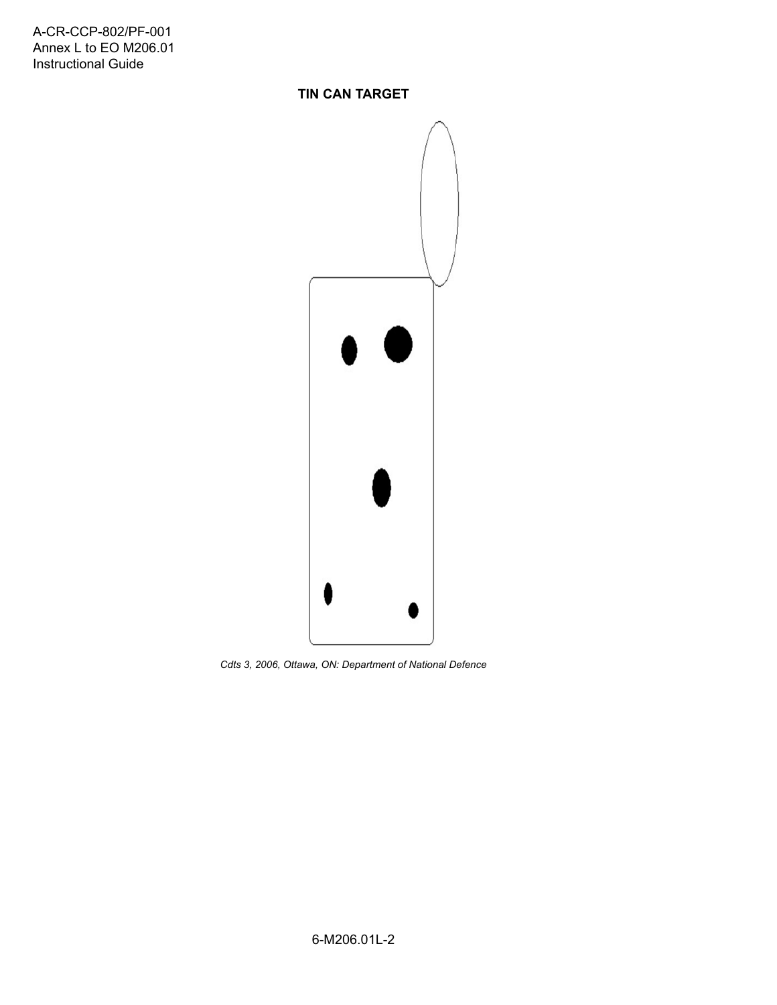# **TIN CAN TARGET**



*Cdts 3, 2006, Ottawa, ON: Department of National Defence*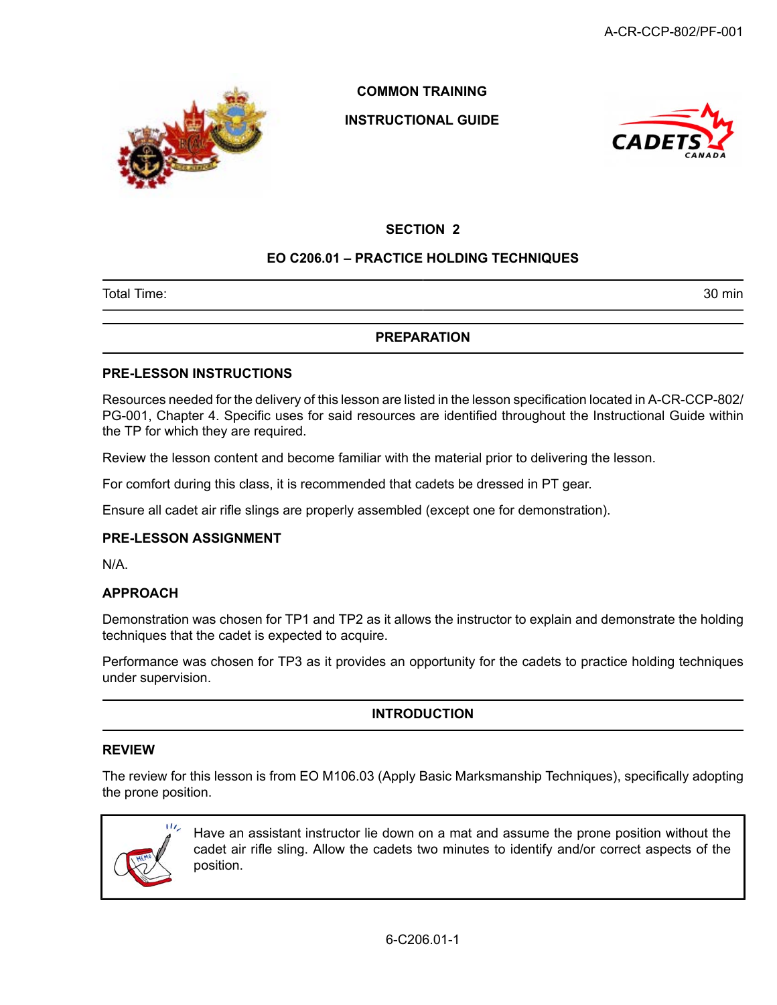

**COMMON TRAINING**

**INSTRUCTIONAL GUIDE**



# **SECTION 2**

# **EO C206.01 – PRACTICE HOLDING TECHNIQUES**

Total Time: 30 min

# **PREPARATION**

### **PRE-LESSON INSTRUCTIONS**

Resources needed for the delivery of this lesson are listed in the lesson specification located in A-CR-CCP-802/ PG-001, Chapter 4. Specific uses for said resources are identified throughout the Instructional Guide within the TP for which they are required.

Review the lesson content and become familiar with the material prior to delivering the lesson.

For comfort during this class, it is recommended that cadets be dressed in PT gear.

Ensure all cadet air rifle slings are properly assembled (except one for demonstration).

# **PRE-LESSON ASSIGNMENT**

N/A.

### **APPROACH**

Demonstration was chosen for TP1 and TP2 as it allows the instructor to explain and demonstrate the holding techniques that the cadet is expected to acquire.

Performance was chosen for TP3 as it provides an opportunity for the cadets to practice holding techniques under supervision.

# **INTRODUCTION**

### **REVIEW**

The review for this lesson is from EO M106.03 (Apply Basic Marksmanship Techniques), specifically adopting the prone position.



Have an assistant instructor lie down on a mat and assume the prone position without the cadet air rifle sling. Allow the cadets two minutes to identify and/or correct aspects of the position.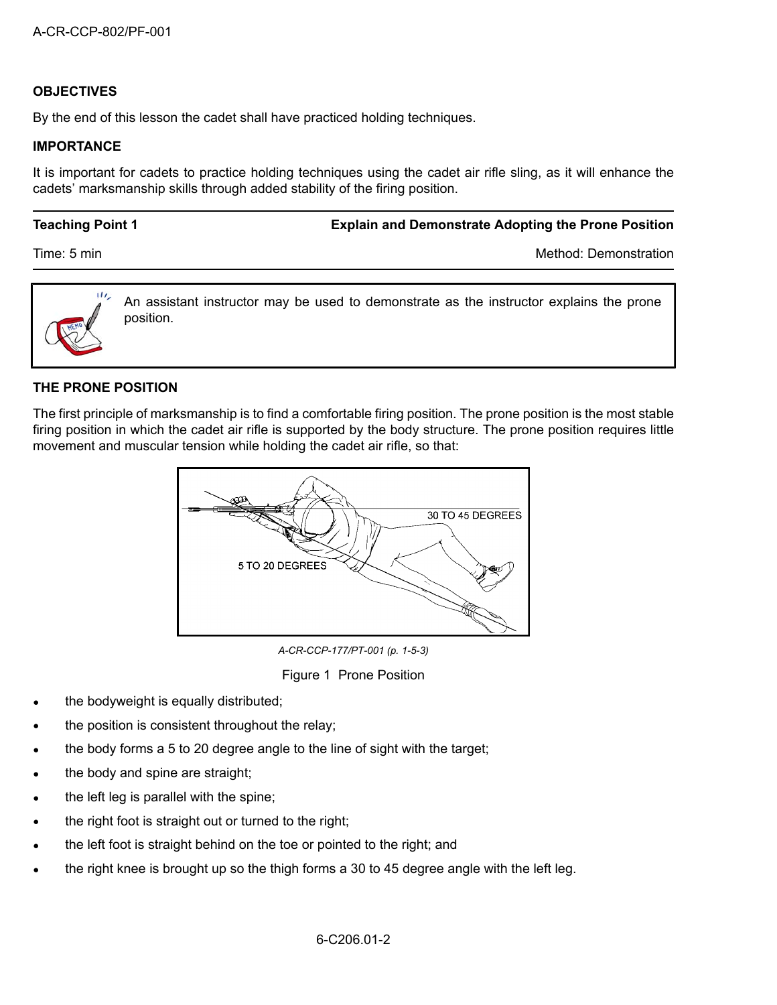# **OBJECTIVES**

By the end of this lesson the cadet shall have practiced holding techniques.

### **IMPORTANCE**

It is important for cadets to practice holding techniques using the cadet air rifle sling, as it will enhance the cadets' marksmanship skills through added stability of the firing position.

**Teaching Point 1 Explain and Demonstrate Adopting the Prone Position**

Time: 5 min Method: Demonstration Number of Time: 5 min Method: Demonstration Number of Time: 5 min Method: Demonstration Number of Time: 5 min Method: Demonstration Number of Time: 5 min Method: Demonstration Number of Ti



An assistant instructor may be used to demonstrate as the instructor explains the prone position.

# **THE PRONE POSITION**

The first principle of marksmanship is to find a comfortable firing position. The prone position is the most stable firing position in which the cadet air rifle is supported by the body structure. The prone position requires little movement and muscular tension while holding the cadet air rifle, so that:



*A-CR-CCP-177/PT-001 (p. 1-5-3)*

Figure 1 Prone Position

- the bodyweight is equally distributed;
- the position is consistent throughout the relay;
- the body forms a 5 to 20 degree angle to the line of sight with the target;
- the body and spine are straight;
- the left leg is parallel with the spine;
- the right foot is straight out or turned to the right;
- the left foot is straight behind on the toe or pointed to the right; and
- the right knee is brought up so the thigh forms a 30 to 45 degree angle with the left leg.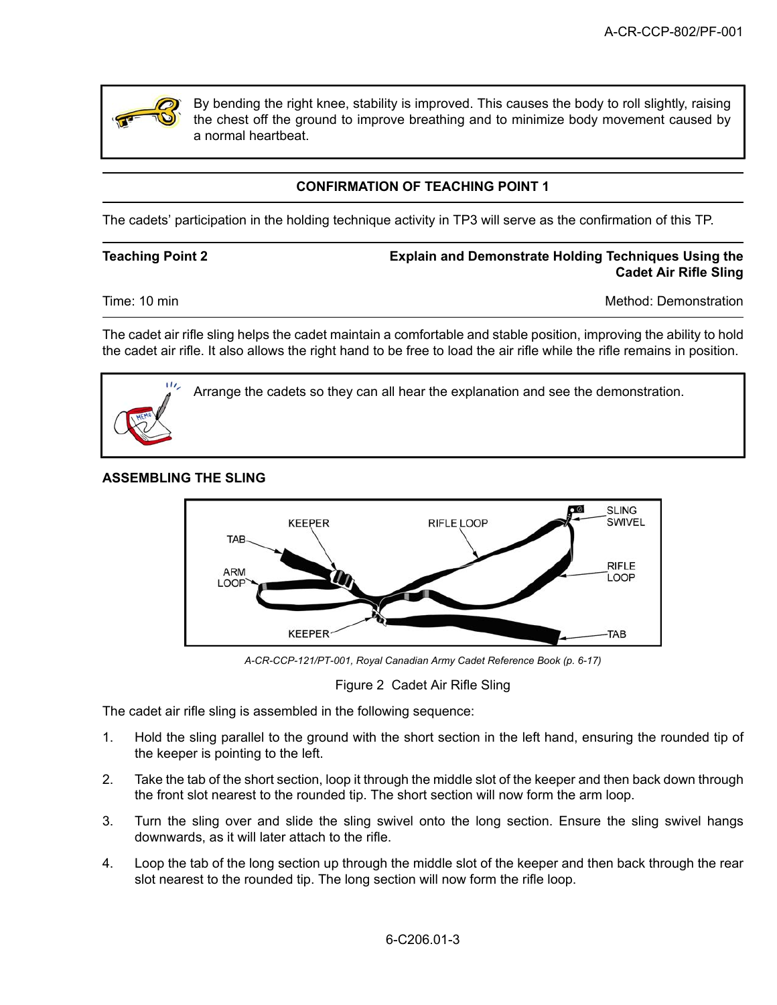

By bending the right knee, stability is improved. This causes the body to roll slightly, raising the chest off the ground to improve breathing and to minimize body movement caused by a normal heartbeat.

# **CONFIRMATION OF TEACHING POINT 1**

The cadets' participation in the holding technique activity in TP3 will serve as the confirmation of this TP.

### **Teaching Point 2 Explain and Demonstrate Holding Techniques Using the Cadet Air Rifle Sling**

Time: 10 min Method: Demonstration Number of Time: 10 min Method: Demonstration Number of Time: 10 min Method: Demonstration Number of Time: 10 min Method: Demonstration Number of Time: 10 min Method: Demonstration Number

The cadet air rifle sling helps the cadet maintain a comfortable and stable position, improving the ability to hold the cadet air rifle. It also allows the right hand to be free to load the air rifle while the rifle remains in position.

 $\overline{u}$ Arrange the cadets so they can all hear the explanation and see the demonstration.

# **ASSEMBLING THE SLING**



*A-CR-CCP-121/PT-001, Royal Canadian Army Cadet Reference Book (p. 6-17)*

Figure 2 Cadet Air Rifle Sling

The cadet air rifle sling is assembled in the following sequence:

- 1. Hold the sling parallel to the ground with the short section in the left hand, ensuring the rounded tip of the keeper is pointing to the left.
- 2. Take the tab of the short section, loop it through the middle slot of the keeper and then back down through the front slot nearest to the rounded tip. The short section will now form the arm loop.
- 3. Turn the sling over and slide the sling swivel onto the long section. Ensure the sling swivel hangs downwards, as it will later attach to the rifle.
- 4. Loop the tab of the long section up through the middle slot of the keeper and then back through the rear slot nearest to the rounded tip. The long section will now form the rifle loop.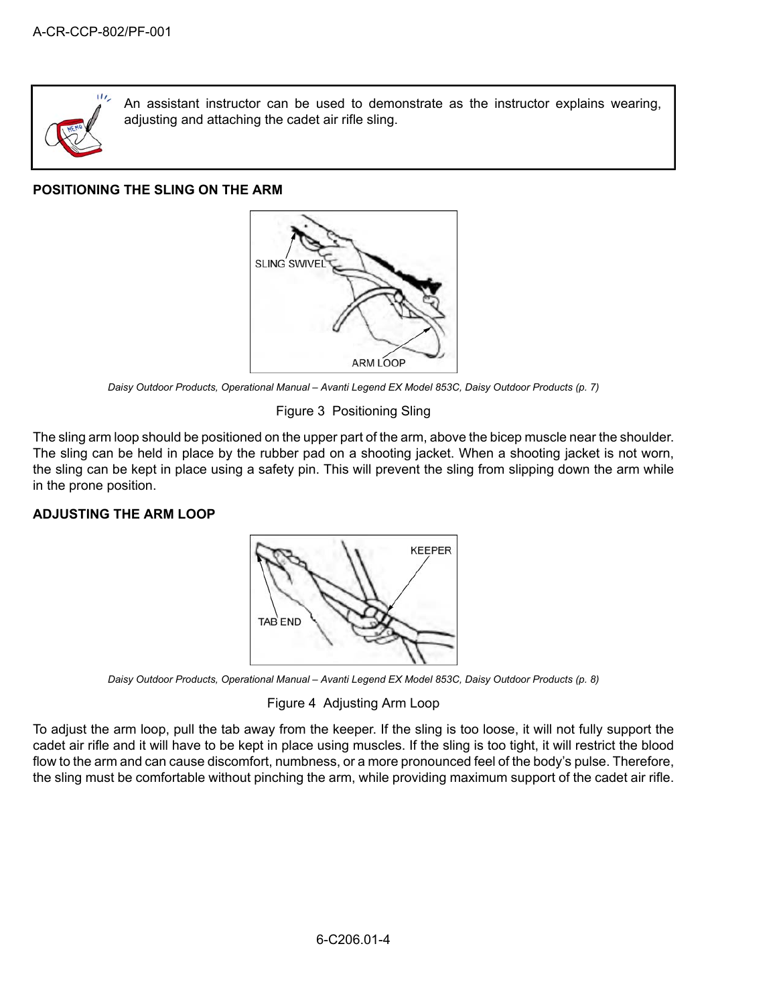

An assistant instructor can be used to demonstrate as the instructor explains wearing, adjusting and attaching the cadet air rifle sling.

# **POSITIONING THE SLING ON THE ARM**



*Daisy Outdoor Products, Operational Manual – Avanti Legend EX Model 853C, Daisy Outdoor Products (p. 7)*

# Figure 3 Positioning Sling

The sling arm loop should be positioned on the upper part of the arm, above the bicep muscle near the shoulder. The sling can be held in place by the rubber pad on a shooting jacket. When a shooting jacket is not worn, the sling can be kept in place using a safety pin. This will prevent the sling from slipping down the arm while in the prone position.

### **ADJUSTING THE ARM LOOP**



*Daisy Outdoor Products, Operational Manual – Avanti Legend EX Model 853C, Daisy Outdoor Products (p. 8)*

Figure 4 Adjusting Arm Loop

To adjust the arm loop, pull the tab away from the keeper. If the sling is too loose, it will not fully support the cadet air rifle and it will have to be kept in place using muscles. If the sling is too tight, it will restrict the blood flow to the arm and can cause discomfort, numbness, or a more pronounced feel of the body's pulse. Therefore, the sling must be comfortable without pinching the arm, while providing maximum support of the cadet air rifle.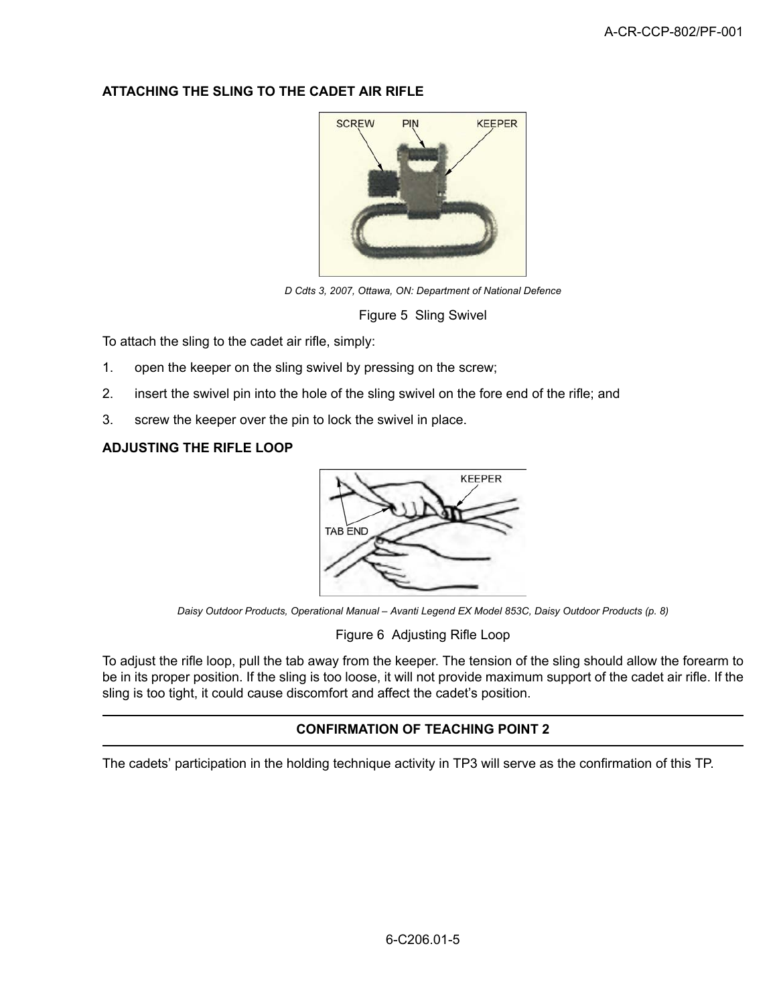# **ATTACHING THE SLING TO THE CADET AIR RIFLE**



*D Cdts 3, 2007, Ottawa, ON: Department of National Defence*

Figure 5 Sling Swivel

To attach the sling to the cadet air rifle, simply:

- 1. open the keeper on the sling swivel by pressing on the screw;
- 2. insert the swivel pin into the hole of the sling swivel on the fore end of the rifle; and
- 3. screw the keeper over the pin to lock the swivel in place.

# **ADJUSTING THE RIFLE LOOP**



*Daisy Outdoor Products, Operational Manual – Avanti Legend EX Model 853C, Daisy Outdoor Products (p. 8)*

Figure 6 Adjusting Rifle Loop

To adjust the rifle loop, pull the tab away from the keeper. The tension of the sling should allow the forearm to be in its proper position. If the sling is too loose, it will not provide maximum support of the cadet air rifle. If the sling is too tight, it could cause discomfort and affect the cadet's position.

# **CONFIRMATION OF TEACHING POINT 2**

The cadets' participation in the holding technique activity in TP3 will serve as the confirmation of this TP.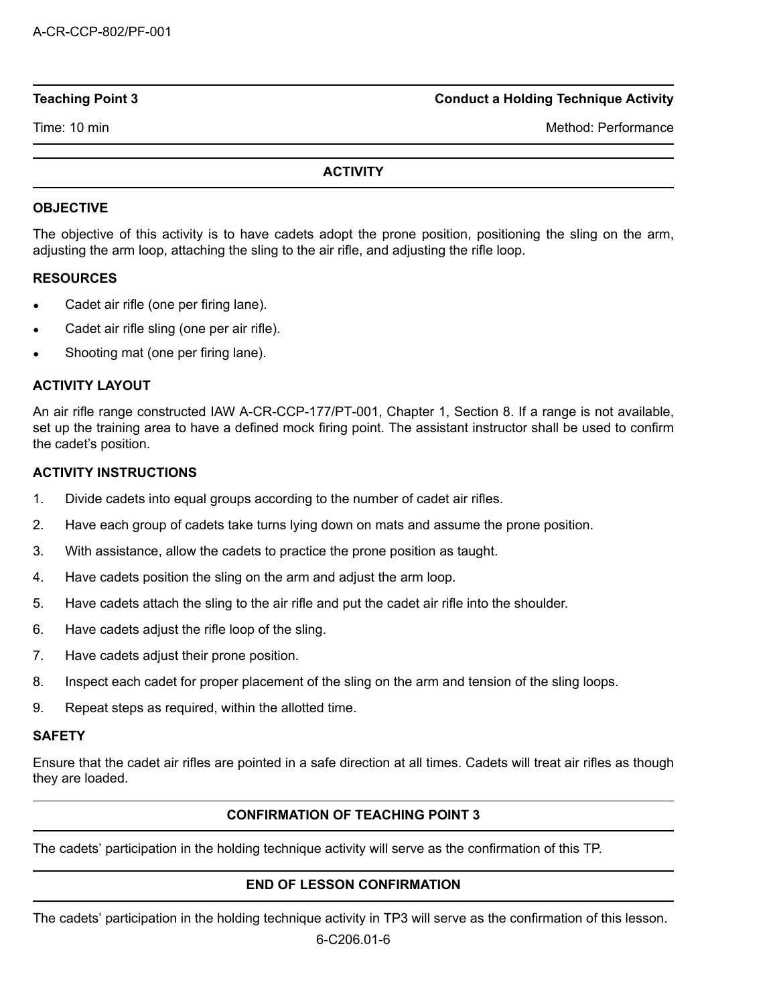### **Teaching Point 3 Conduct a Holding Technique Activity**

Time: 10 min Method: Performance Number of Time: 10 min Method: Performance Number of Time: 10 min Method: Performance

### **ACTIVITY**

### **OBJECTIVE**

The objective of this activity is to have cadets adopt the prone position, positioning the sling on the arm, adjusting the arm loop, attaching the sling to the air rifle, and adjusting the rifle loop.

### **RESOURCES**

- Cadet air rifle (one per firing lane).
- Cadet air rifle sling (one per air rifle).
- Shooting mat (one per firing lane).

### **ACTIVITY LAYOUT**

An air rifle range constructed IAW A-CR-CCP-177/PT-001, Chapter 1, Section 8. If a range is not available, set up the training area to have a defined mock firing point. The assistant instructor shall be used to confirm the cadet's position.

### **ACTIVITY INSTRUCTIONS**

- 1. Divide cadets into equal groups according to the number of cadet air rifles.
- 2. Have each group of cadets take turns lying down on mats and assume the prone position.
- 3. With assistance, allow the cadets to practice the prone position as taught.
- 4. Have cadets position the sling on the arm and adjust the arm loop.
- 5. Have cadets attach the sling to the air rifle and put the cadet air rifle into the shoulder.
- 6. Have cadets adjust the rifle loop of the sling.
- 7. Have cadets adjust their prone position.
- 8. Inspect each cadet for proper placement of the sling on the arm and tension of the sling loops.
- 9. Repeat steps as required, within the allotted time.

### **SAFETY**

Ensure that the cadet air rifles are pointed in a safe direction at all times. Cadets will treat air rifles as though they are loaded.

### **CONFIRMATION OF TEACHING POINT 3**

The cadets' participation in the holding technique activity will serve as the confirmation of this TP.

# **END OF LESSON CONFIRMATION**

The cadets' participation in the holding technique activity in TP3 will serve as the confirmation of this lesson.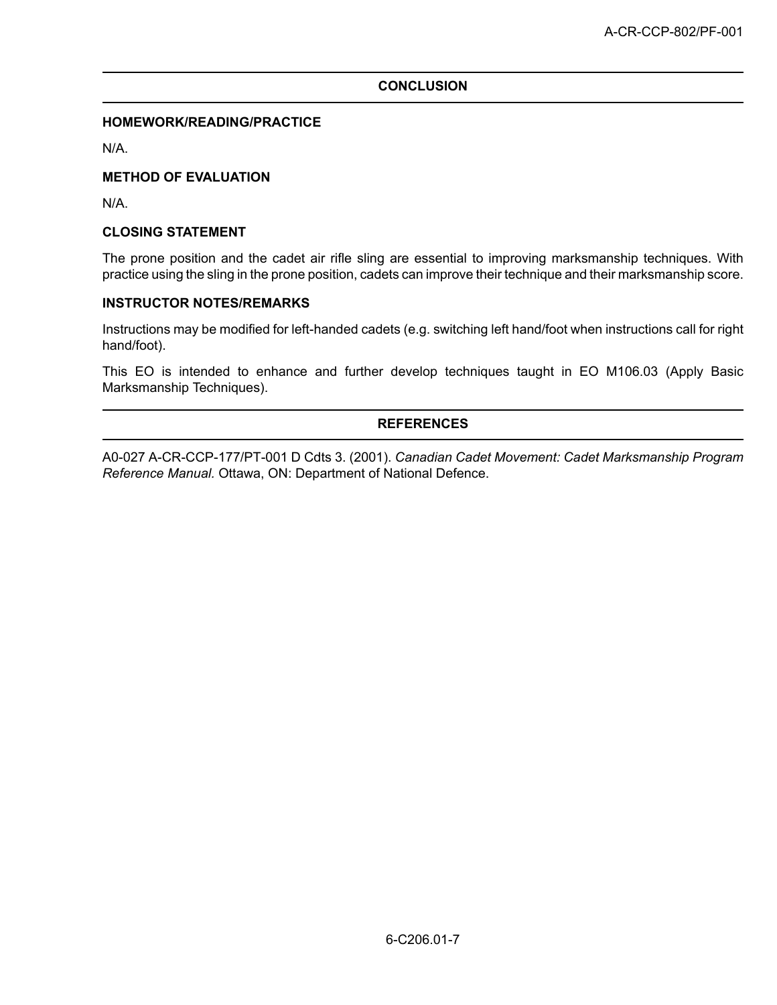# **CONCLUSION**

### **HOMEWORK/READING/PRACTICE**

N/A.

### **METHOD OF EVALUATION**

N/A.

### **CLOSING STATEMENT**

The prone position and the cadet air rifle sling are essential to improving marksmanship techniques. With practice using the sling in the prone position, cadets can improve their technique and their marksmanship score.

### **INSTRUCTOR NOTES/REMARKS**

Instructions may be modified for left-handed cadets (e.g. switching left hand/foot when instructions call for right hand/foot).

This EO is intended to enhance and further develop techniques taught in EO M106.03 (Apply Basic Marksmanship Techniques).

### **REFERENCES**

A0-027 A-CR-CCP-177/PT-001 D Cdts 3. (2001). *Canadian Cadet Movement: Cadet Marksmanship Program Reference Manual.* Ottawa, ON: Department of National Defence.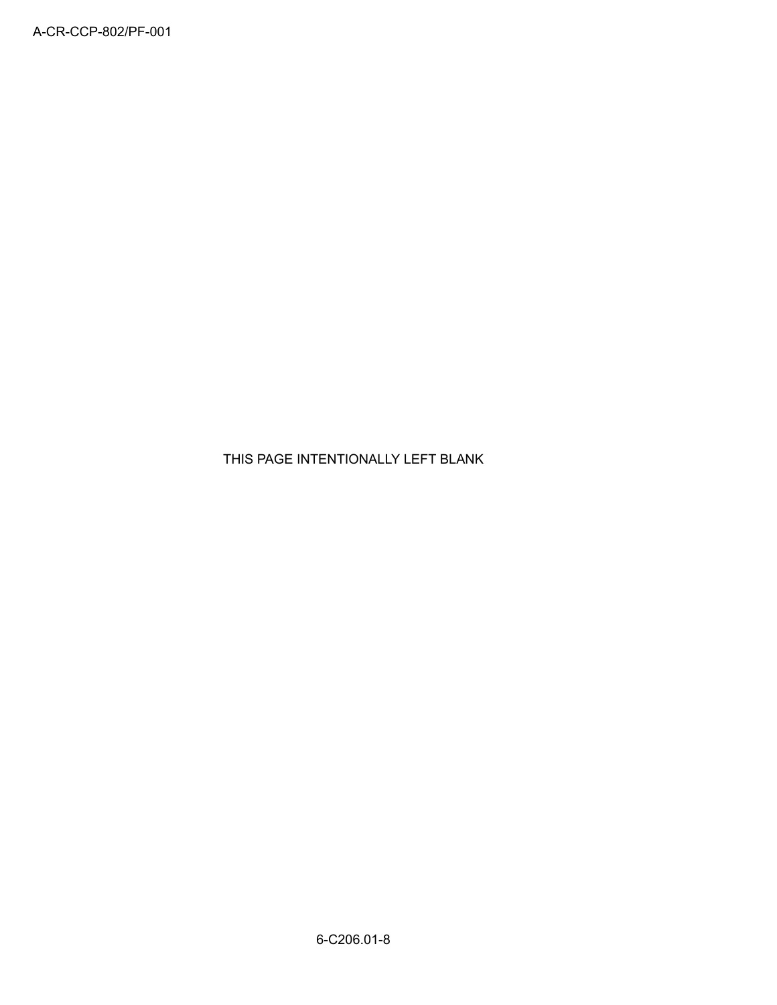THIS PAGE INTENTIONALLY LEFT BLANK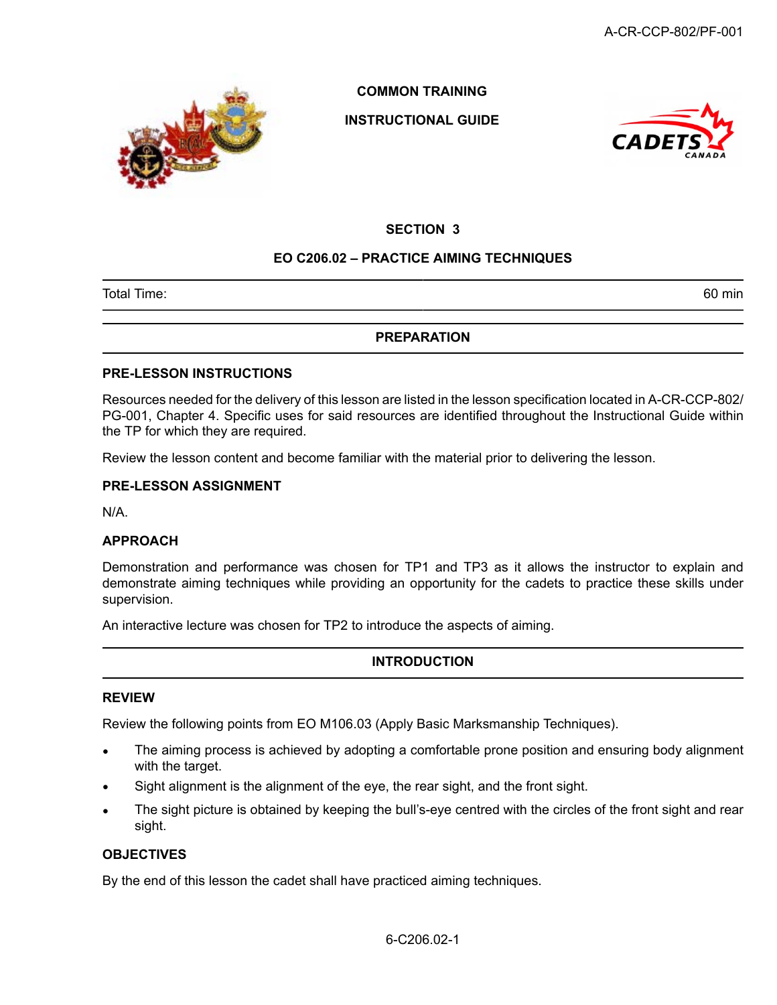

**COMMON TRAINING**

**INSTRUCTIONAL GUIDE**



# **SECTION 3**

## **EO C206.02 – PRACTICE AIMING TECHNIQUES**

Total Time: 60 min

# **PREPARATION**

### **PRE-LESSON INSTRUCTIONS**

Resources needed for the delivery of this lesson are listed in the lesson specification located in A-CR-CCP-802/ PG-001, Chapter 4. Specific uses for said resources are identified throughout the Instructional Guide within the TP for which they are required.

Review the lesson content and become familiar with the material prior to delivering the lesson.

### **PRE-LESSON ASSIGNMENT**

N/A.

### **APPROACH**

Demonstration and performance was chosen for TP1 and TP3 as it allows the instructor to explain and demonstrate aiming techniques while providing an opportunity for the cadets to practice these skills under supervision.

An interactive lecture was chosen for TP2 to introduce the aspects of aiming.

# **INTRODUCTION**

### **REVIEW**

Review the following points from EO M106.03 (Apply Basic Marksmanship Techniques).

- The aiming process is achieved by adopting a comfortable prone position and ensuring body alignment with the target.
- Sight alignment is the alignment of the eye, the rear sight, and the front sight.
- The sight picture is obtained by keeping the bull's-eye centred with the circles of the front sight and rear sight.

### **OBJECTIVES**

By the end of this lesson the cadet shall have practiced aiming techniques.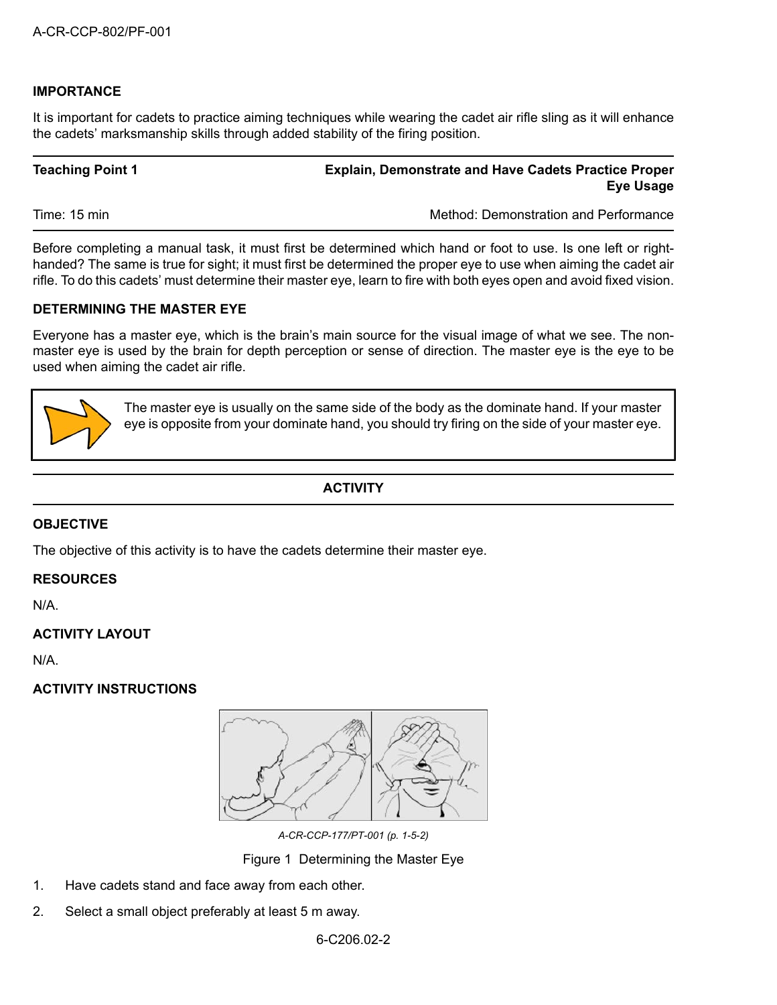# **IMPORTANCE**

It is important for cadets to practice aiming techniques while wearing the cadet air rifle sling as it will enhance the cadets' marksmanship skills through added stability of the firing position.

# **Teaching Point 1 Explain, Demonstrate and Have Cadets Practice Proper Eye Usage**

Time: 15 min Method: Demonstration and Performance

Before completing a manual task, it must first be determined which hand or foot to use. Is one left or righthanded? The same is true for sight; it must first be determined the proper eye to use when aiming the cadet air rifle. To do this cadets' must determine their master eye, learn to fire with both eyes open and avoid fixed vision.

### **DETERMINING THE MASTER EYE**

Everyone has a master eye, which is the brain's main source for the visual image of what we see. The nonmaster eye is used by the brain for depth perception or sense of direction. The master eye is the eye to be used when aiming the cadet air rifle.



The master eye is usually on the same side of the body as the dominate hand. If your master eye is opposite from your dominate hand, you should try firing on the side of your master eye.

# **ACTIVITY**

### **OBJECTIVE**

The objective of this activity is to have the cadets determine their master eye.

### **RESOURCES**

N/A.

# **ACTIVITY LAYOUT**

N/A.

# **ACTIVITY INSTRUCTIONS**



*A-CR-CCP-177/PT-001 (p. 1-5-2)*

Figure 1 Determining the Master Eye

- 1. Have cadets stand and face away from each other.
- 2. Select a small object preferably at least 5 m away.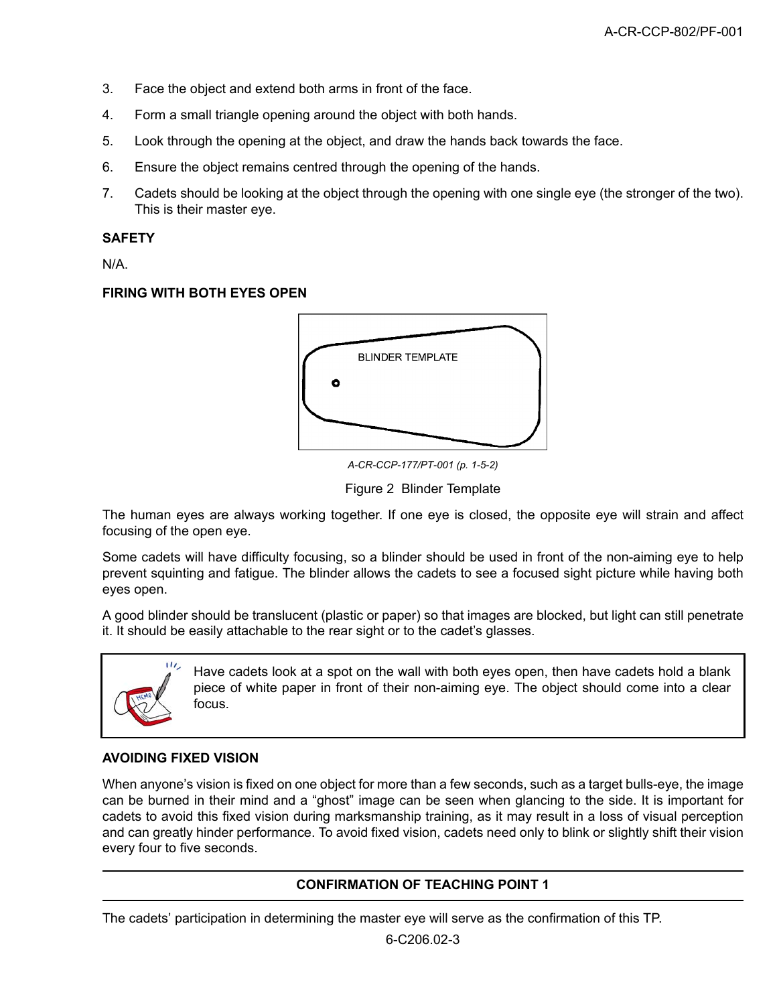- 3. Face the object and extend both arms in front of the face.
- 4. Form a small triangle opening around the object with both hands.
- 5. Look through the opening at the object, and draw the hands back towards the face.
- 6. Ensure the object remains centred through the opening of the hands.
- 7. Cadets should be looking at the object through the opening with one single eye (the stronger of the two). This is their master eye.

### **SAFETY**

N/A.

### **FIRING WITH BOTH EYES OPEN**



*A-CR-CCP-177/PT-001 (p. 1-5-2)*

Figure 2 Blinder Template

The human eyes are always working together. If one eye is closed, the opposite eye will strain and affect focusing of the open eye.

Some cadets will have difficulty focusing, so a blinder should be used in front of the non-aiming eye to help prevent squinting and fatigue. The blinder allows the cadets to see a focused sight picture while having both eyes open.

A good blinder should be translucent (plastic or paper) so that images are blocked, but light can still penetrate it. It should be easily attachable to the rear sight or to the cadet's glasses.



Have cadets look at a spot on the wall with both eyes open, then have cadets hold a blank piece of white paper in front of their non-aiming eye. The object should come into a clear focus.

### **AVOIDING FIXED VISION**

When anyone's vision is fixed on one object for more than a few seconds, such as a target bulls-eye, the image can be burned in their mind and a "ghost" image can be seen when glancing to the side. It is important for cadets to avoid this fixed vision during marksmanship training, as it may result in a loss of visual perception and can greatly hinder performance. To avoid fixed vision, cadets need only to blink or slightly shift their vision every four to five seconds.

### **CONFIRMATION OF TEACHING POINT 1**

The cadets' participation in determining the master eye will serve as the confirmation of this TP.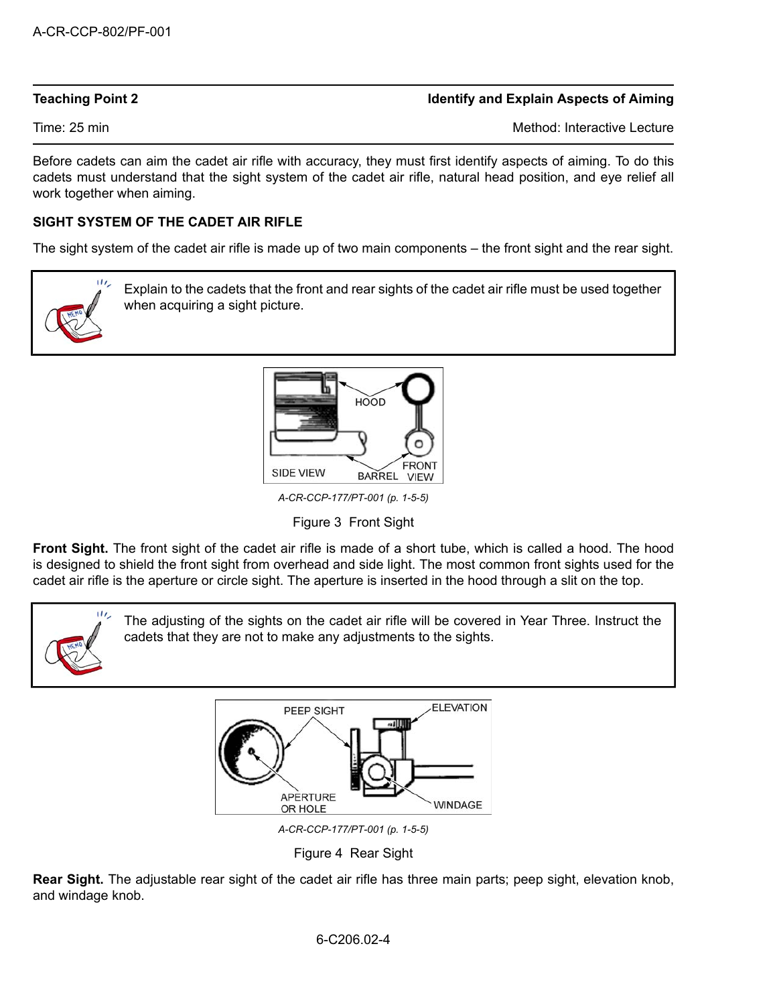### **Teaching Point 2 Identify and Explain Aspects of Aiming**

Time: 25 min Method: Interactive Lecture Companies And Method: Interactive Lecture

Before cadets can aim the cadet air rifle with accuracy, they must first identify aspects of aiming. To do this cadets must understand that the sight system of the cadet air rifle, natural head position, and eye relief all work together when aiming.

### **SIGHT SYSTEM OF THE CADET AIR RIFLE**

The sight system of the cadet air rifle is made up of two main components – the front sight and the rear sight.



Explain to the cadets that the front and rear sights of the cadet air rifle must be used together when acquiring a sight picture.



*A-CR-CCP-177/PT-001 (p. 1-5-5)*

Figure 3 Front Sight

**Front Sight.** The front sight of the cadet air rifle is made of a short tube, which is called a hood. The hood is designed to shield the front sight from overhead and side light. The most common front sights used for the cadet air rifle is the aperture or circle sight. The aperture is inserted in the hood through a slit on the top.



The adjusting of the sights on the cadet air rifle will be covered in Year Three. Instruct the cadets that they are not to make any adjustments to the sights.



*A-CR-CCP-177/PT-001 (p. 1-5-5)*

Figure 4 Rear Sight

**Rear Sight.** The adjustable rear sight of the cadet air rifle has three main parts; peep sight, elevation knob, and windage knob.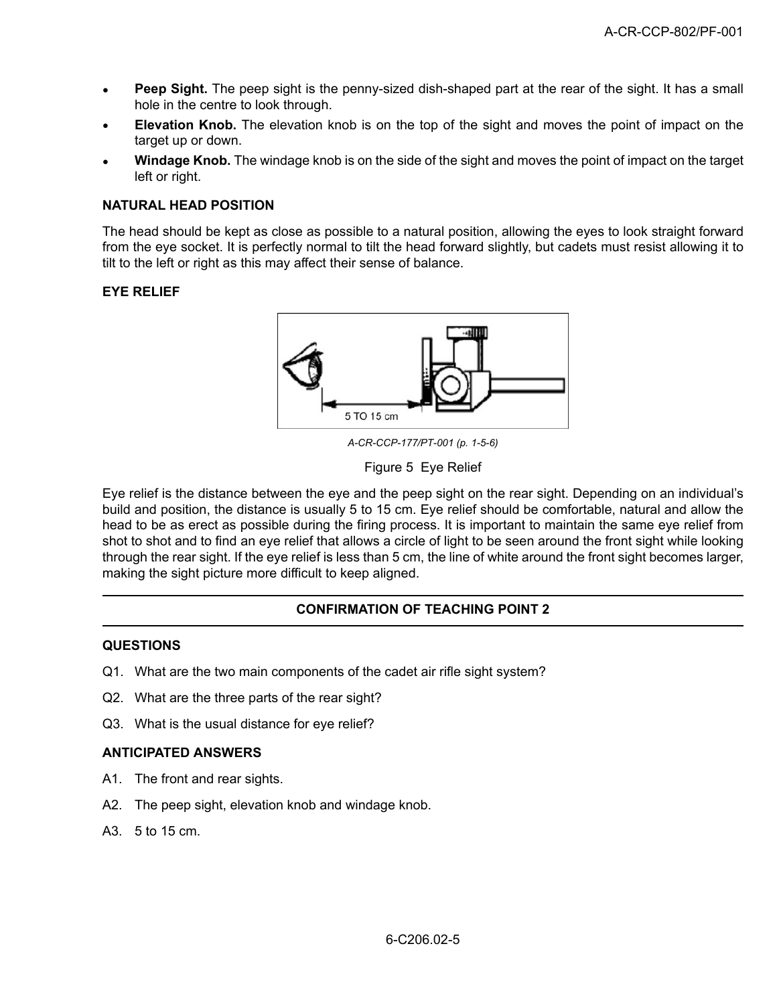- **Peep Sight.** The peep sight is the penny-sized dish-shaped part at the rear of the sight. It has a small hole in the centre to look through.
- **Elevation Knob.** The elevation knob is on the top of the sight and moves the point of impact on the target up or down.
- **Windage Knob.** The windage knob is on the side of the sight and moves the point of impact on the target left or right.

### **NATURAL HEAD POSITION**

The head should be kept as close as possible to a natural position, allowing the eyes to look straight forward from the eye socket. It is perfectly normal to tilt the head forward slightly, but cadets must resist allowing it to tilt to the left or right as this may affect their sense of balance.

### **EYE RELIEF**



*A-CR-CCP-177/PT-001 (p. 1-5-6)*

Figure 5 Eye Relief

Eye relief is the distance between the eye and the peep sight on the rear sight. Depending on an individual's build and position, the distance is usually 5 to 15 cm. Eye relief should be comfortable, natural and allow the head to be as erect as possible during the firing process. It is important to maintain the same eye relief from shot to shot and to find an eye relief that allows a circle of light to be seen around the front sight while looking through the rear sight. If the eye relief is less than 5 cm, the line of white around the front sight becomes larger, making the sight picture more difficult to keep aligned.

## **CONFIRMATION OF TEACHING POINT 2**

### **QUESTIONS**

- Q1. What are the two main components of the cadet air rifle sight system?
- Q2. What are the three parts of the rear sight?
- Q3. What is the usual distance for eye relief?

### **ANTICIPATED ANSWERS**

- A1. The front and rear sights.
- A2. The peep sight, elevation knob and windage knob.
- A3. 5 to 15 cm.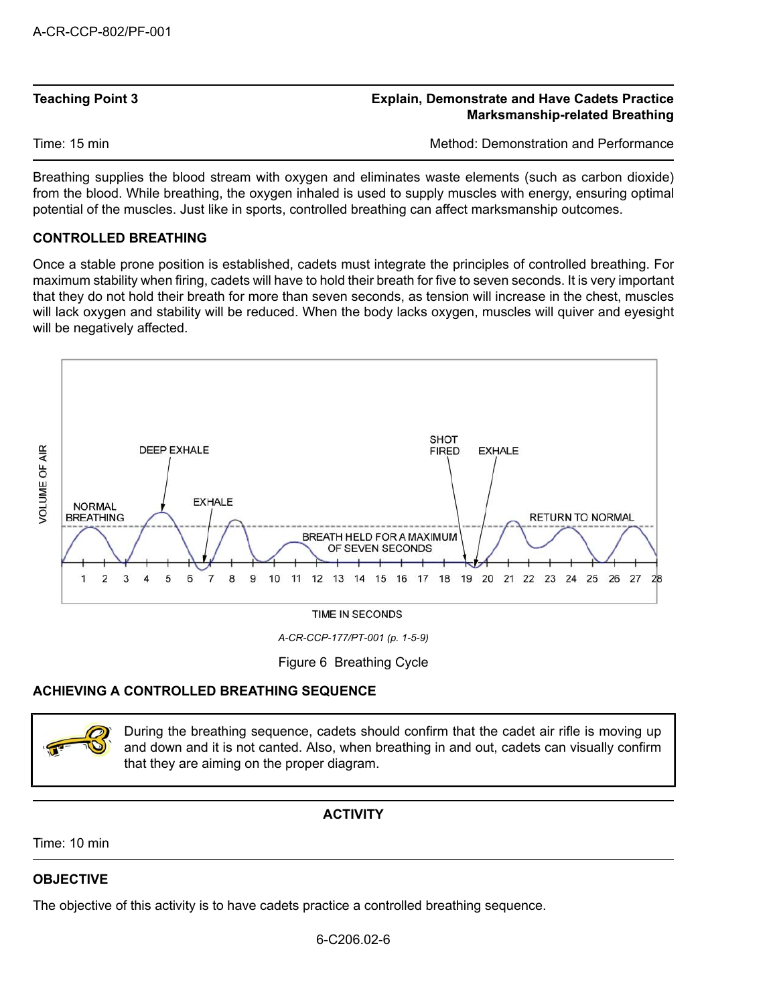| <b>Teaching Point 3</b> | <b>Explain, Demonstrate and Have Cadets Practice</b><br><b>Marksmanship-related Breathing</b> |
|-------------------------|-----------------------------------------------------------------------------------------------|
| Time: 15 min            | Method: Demonstration and Performance                                                         |

Breathing supplies the blood stream with oxygen and eliminates waste elements (such as carbon dioxide) from the blood. While breathing, the oxygen inhaled is used to supply muscles with energy, ensuring optimal potential of the muscles. Just like in sports, controlled breathing can affect marksmanship outcomes.

# **CONTROLLED BREATHING**

Once a stable prone position is established, cadets must integrate the principles of controlled breathing. For maximum stability when firing, cadets will have to hold their breath for five to seven seconds. It is very important that they do not hold their breath for more than seven seconds, as tension will increase in the chest, muscles will lack oxygen and stability will be reduced. When the body lacks oxygen, muscles will quiver and eyesight will be negatively affected.



*A-CR-CCP-177/PT-001 (p. 1-5-9)*

Figure 6 Breathing Cycle

# **ACHIEVING A CONTROLLED BREATHING SEQUENCE**

During the breathing sequence, cadets should confirm that the cadet air rifle is moving up and down and it is not canted. Also, when breathing in and out, cadets can visually confirm that they are aiming on the proper diagram.

### **ACTIVITY**

Time: 10 min

# **OBJECTIVE**

The objective of this activity is to have cadets practice a controlled breathing sequence.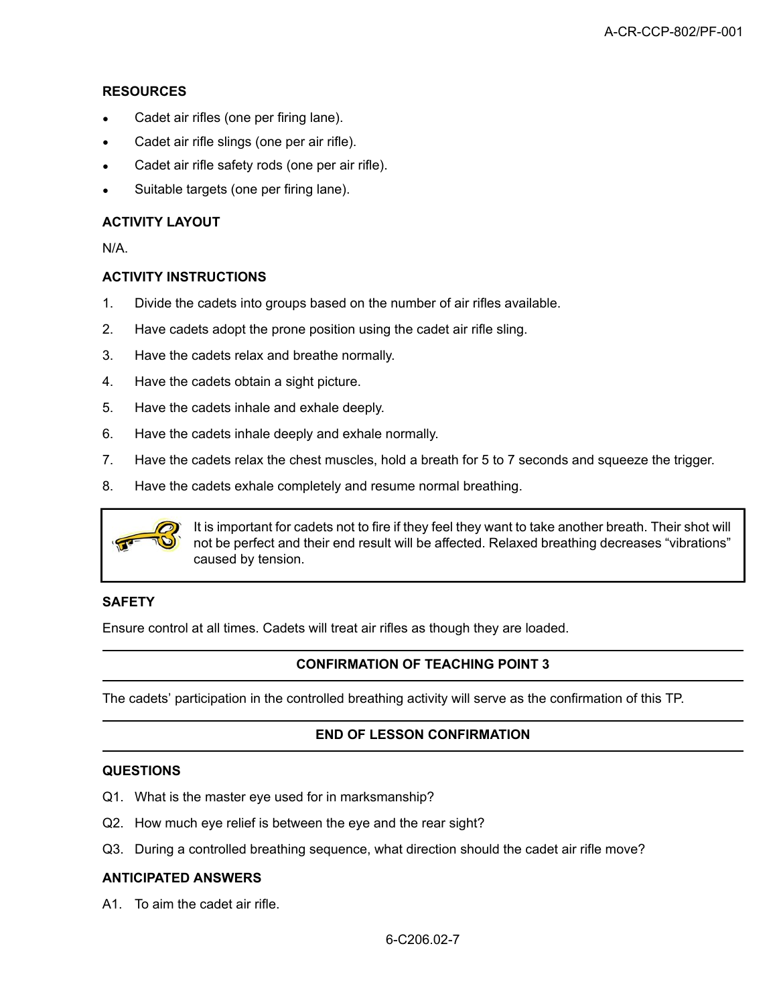# **RESOURCES**

- Cadet air rifles (one per firing lane).
- Cadet air rifle slings (one per air rifle).
- Cadet air rifle safety rods (one per air rifle).
- Suitable targets (one per firing lane).

# **ACTIVITY LAYOUT**

N/A.

### **ACTIVITY INSTRUCTIONS**

- 1. Divide the cadets into groups based on the number of air rifles available.
- 2. Have cadets adopt the prone position using the cadet air rifle sling.
- 3. Have the cadets relax and breathe normally.
- 4. Have the cadets obtain a sight picture.
- 5. Have the cadets inhale and exhale deeply.
- 6. Have the cadets inhale deeply and exhale normally.
- 7. Have the cadets relax the chest muscles, hold a breath for 5 to 7 seconds and squeeze the trigger.
- 8. Have the cadets exhale completely and resume normal breathing.



It is important for cadets not to fire if they feel they want to take another breath. Their shot will not be perfect and their end result will be affected. Relaxed breathing decreases "vibrations" caused by tension.

# **SAFETY**

Ensure control at all times. Cadets will treat air rifles as though they are loaded.

### **CONFIRMATION OF TEACHING POINT 3**

The cadets' participation in the controlled breathing activity will serve as the confirmation of this TP.

### **END OF LESSON CONFIRMATION**

### **QUESTIONS**

- Q1. What is the master eye used for in marksmanship?
- Q2. How much eye relief is between the eye and the rear sight?
- Q3. During a controlled breathing sequence, what direction should the cadet air rifle move?

### **ANTICIPATED ANSWERS**

A1. To aim the cadet air rifle.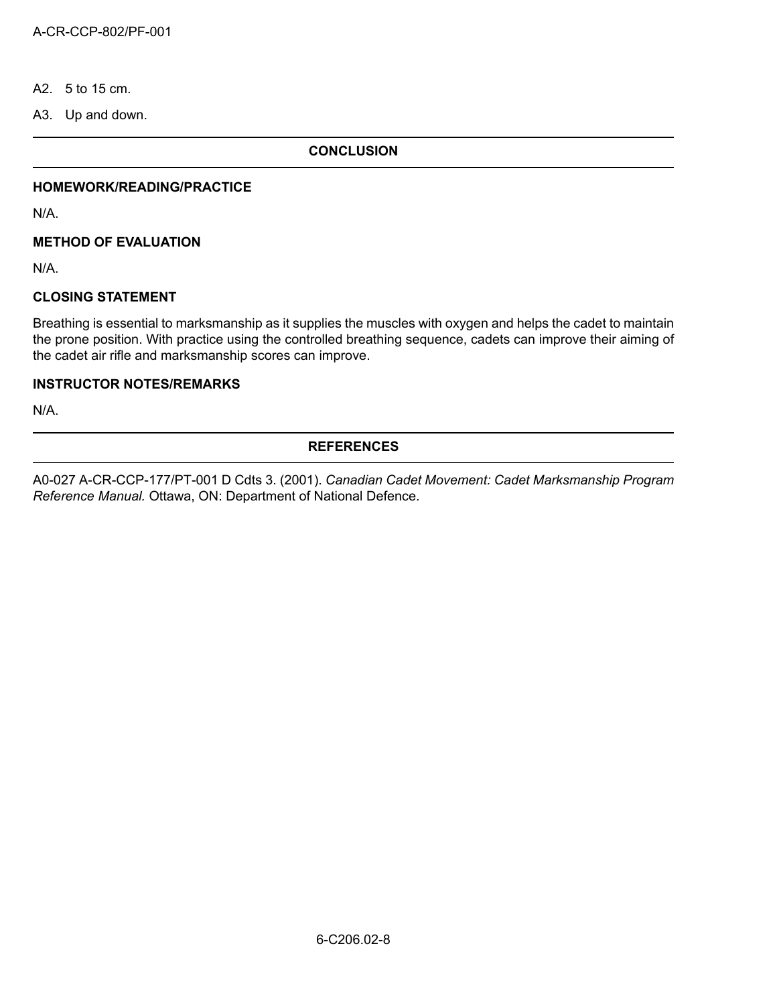- A2. 5 to 15 cm.
- A3. Up and down.

### **CONCLUSION**

### **HOMEWORK/READING/PRACTICE**

N/A.

### **METHOD OF EVALUATION**

N/A.

### **CLOSING STATEMENT**

Breathing is essential to marksmanship as it supplies the muscles with oxygen and helps the cadet to maintain the prone position. With practice using the controlled breathing sequence, cadets can improve their aiming of the cadet air rifle and marksmanship scores can improve.

### **INSTRUCTOR NOTES/REMARKS**

N/A.

### **REFERENCES**

A0-027 A-CR-CCP-177/PT-001 D Cdts 3. (2001). *Canadian Cadet Movement: Cadet Marksmanship Program Reference Manual.* Ottawa, ON: Department of National Defence.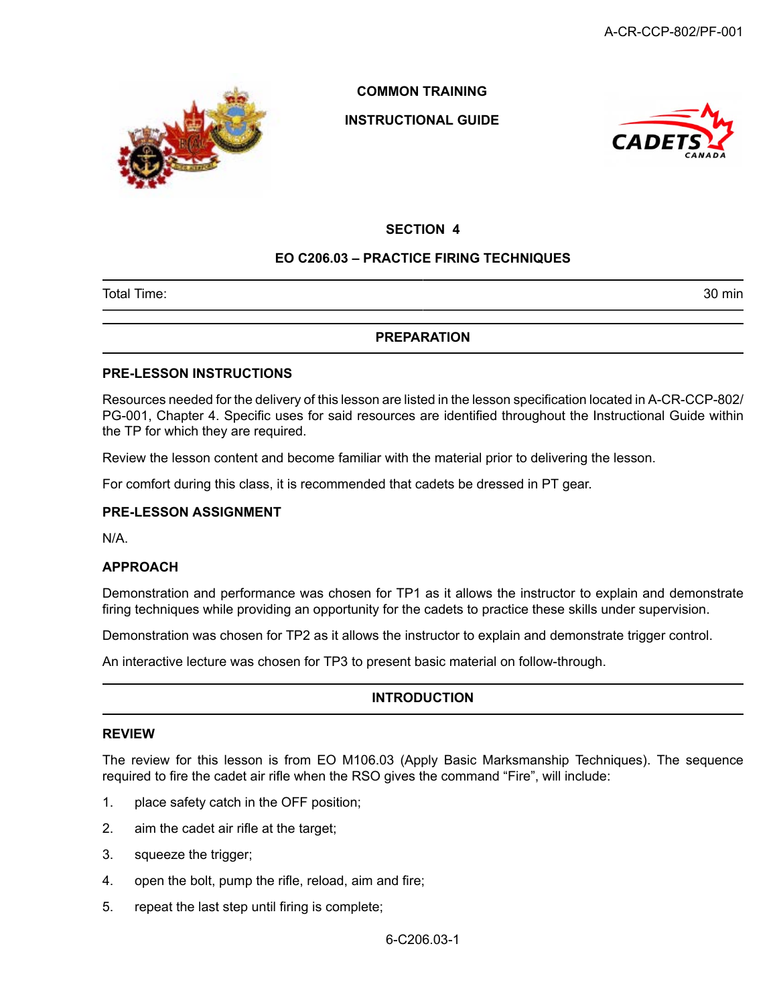

**COMMON TRAINING**

**INSTRUCTIONAL GUIDE**



# **SECTION 4**

### **EO C206.03 – PRACTICE FIRING TECHNIQUES**

Total Time: 30 min

# **PREPARATION**

### **PRE-LESSON INSTRUCTIONS**

Resources needed for the delivery of this lesson are listed in the lesson specification located in A-CR-CCP-802/ PG-001, Chapter 4. Specific uses for said resources are identified throughout the Instructional Guide within the TP for which they are required.

Review the lesson content and become familiar with the material prior to delivering the lesson.

For comfort during this class, it is recommended that cadets be dressed in PT gear.

# **PRE-LESSON ASSIGNMENT**

N/A.

### **APPROACH**

Demonstration and performance was chosen for TP1 as it allows the instructor to explain and demonstrate firing techniques while providing an opportunity for the cadets to practice these skills under supervision.

Demonstration was chosen for TP2 as it allows the instructor to explain and demonstrate trigger control.

An interactive lecture was chosen for TP3 to present basic material on follow-through.

### **INTRODUCTION**

### **REVIEW**

The review for this lesson is from EO M106.03 (Apply Basic Marksmanship Techniques). The sequence required to fire the cadet air rifle when the RSO gives the command "Fire", will include:

- 1. place safety catch in the OFF position;
- 2. aim the cadet air rifle at the target;
- 3. squeeze the trigger;
- 4. open the bolt, pump the rifle, reload, aim and fire;
- 5. repeat the last step until firing is complete;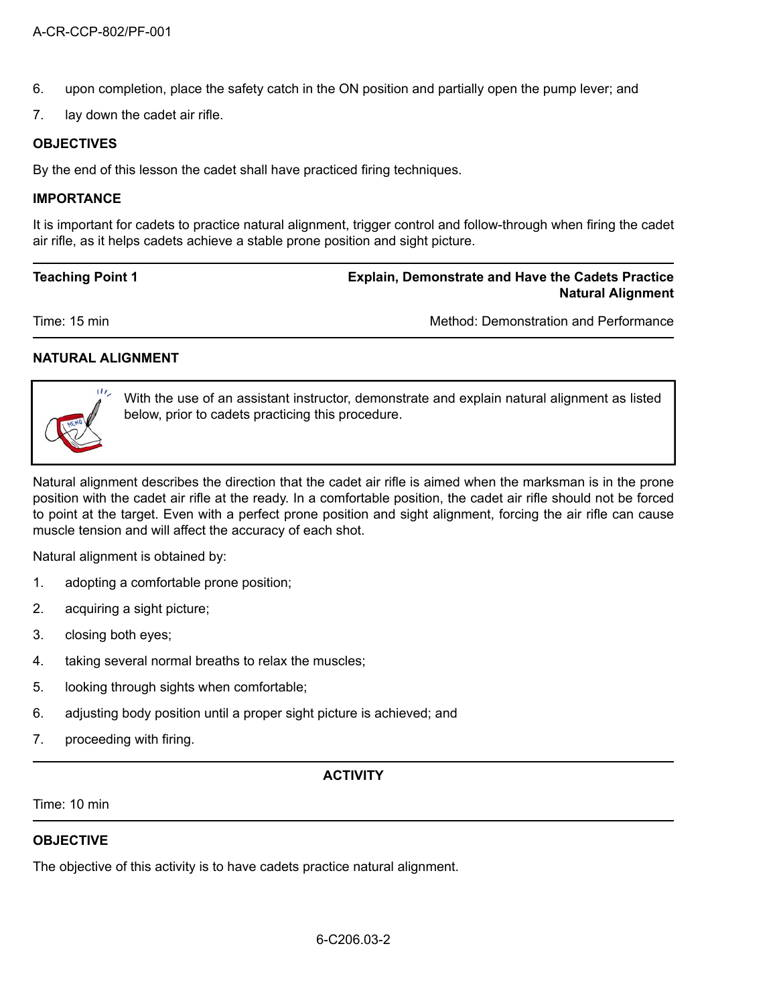- 6. upon completion, place the safety catch in the ON position and partially open the pump lever; and
- 7. lay down the cadet air rifle.

### **OBJECTIVES**

By the end of this lesson the cadet shall have practiced firing techniques.

### **IMPORTANCE**

It is important for cadets to practice natural alignment, trigger control and follow-through when firing the cadet air rifle, as it helps cadets achieve a stable prone position and sight picture.

### **Teaching Point 1 Explain, Demonstrate and Have the Cadets Practice Natural Alignment**

Time: 15 min Method: Demonstration and Performance

### **NATURAL ALIGNMENT**



With the use of an assistant instructor, demonstrate and explain natural alignment as listed below, prior to cadets practicing this procedure.

Natural alignment describes the direction that the cadet air rifle is aimed when the marksman is in the prone position with the cadet air rifle at the ready. In a comfortable position, the cadet air rifle should not be forced to point at the target. Even with a perfect prone position and sight alignment, forcing the air rifle can cause muscle tension and will affect the accuracy of each shot.

Natural alignment is obtained by:

- 1. adopting a comfortable prone position;
- 2. acquiring a sight picture;
- 3. closing both eyes;
- 4. taking several normal breaths to relax the muscles;
- 5. looking through sights when comfortable;
- 6. adjusting body position until a proper sight picture is achieved; and
- 7. proceeding with firing.

### **ACTIVITY**

Time: 10 min

### **OBJECTIVE**

The objective of this activity is to have cadets practice natural alignment.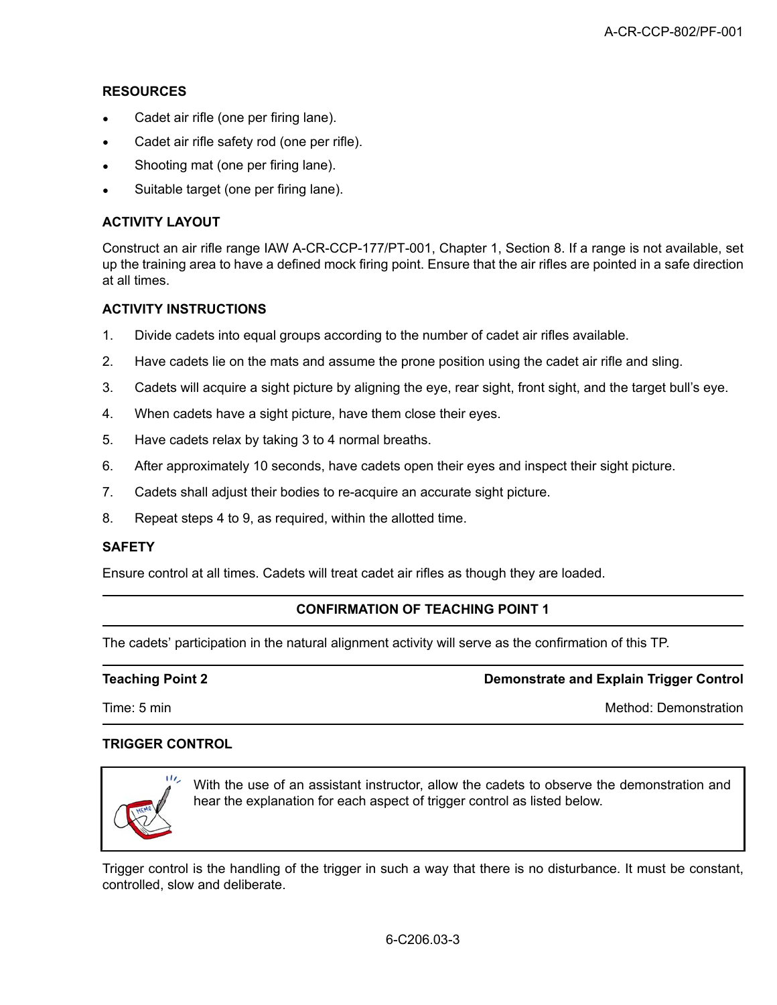# **RESOURCES**

- Cadet air rifle (one per firing lane).
- Cadet air rifle safety rod (one per rifle).
- Shooting mat (one per firing lane).
- Suitable target (one per firing lane).

# **ACTIVITY LAYOUT**

Construct an air rifle range IAW A-CR-CCP-177/PT-001, Chapter 1, Section 8. If a range is not available, set up the training area to have a defined mock firing point. Ensure that the air rifles are pointed in a safe direction at all times.

### **ACTIVITY INSTRUCTIONS**

- 1. Divide cadets into equal groups according to the number of cadet air rifles available.
- 2. Have cadets lie on the mats and assume the prone position using the cadet air rifle and sling.
- 3. Cadets will acquire a sight picture by aligning the eye, rear sight, front sight, and the target bull's eye.
- 4. When cadets have a sight picture, have them close their eyes.
- 5. Have cadets relax by taking 3 to 4 normal breaths.
- 6. After approximately 10 seconds, have cadets open their eyes and inspect their sight picture.
- 7. Cadets shall adjust their bodies to re-acquire an accurate sight picture.
- 8. Repeat steps 4 to 9, as required, within the allotted time.

### **SAFETY**

Ensure control at all times. Cadets will treat cadet air rifles as though they are loaded.

# **CONFIRMATION OF TEACHING POINT 1**

The cadets' participation in the natural alignment activity will serve as the confirmation of this TP.

### **Teaching Point 2 Demonstrate and Explain Trigger Control**

Time: 5 min Method: Demonstration Number of Time: 5 min Method: Demonstration Number of Time: 5 min Method: Demonstration

### **TRIGGER CONTROL**



With the use of an assistant instructor, allow the cadets to observe the demonstration and hear the explanation for each aspect of trigger control as listed below.

Trigger control is the handling of the trigger in such a way that there is no disturbance. It must be constant, controlled, slow and deliberate.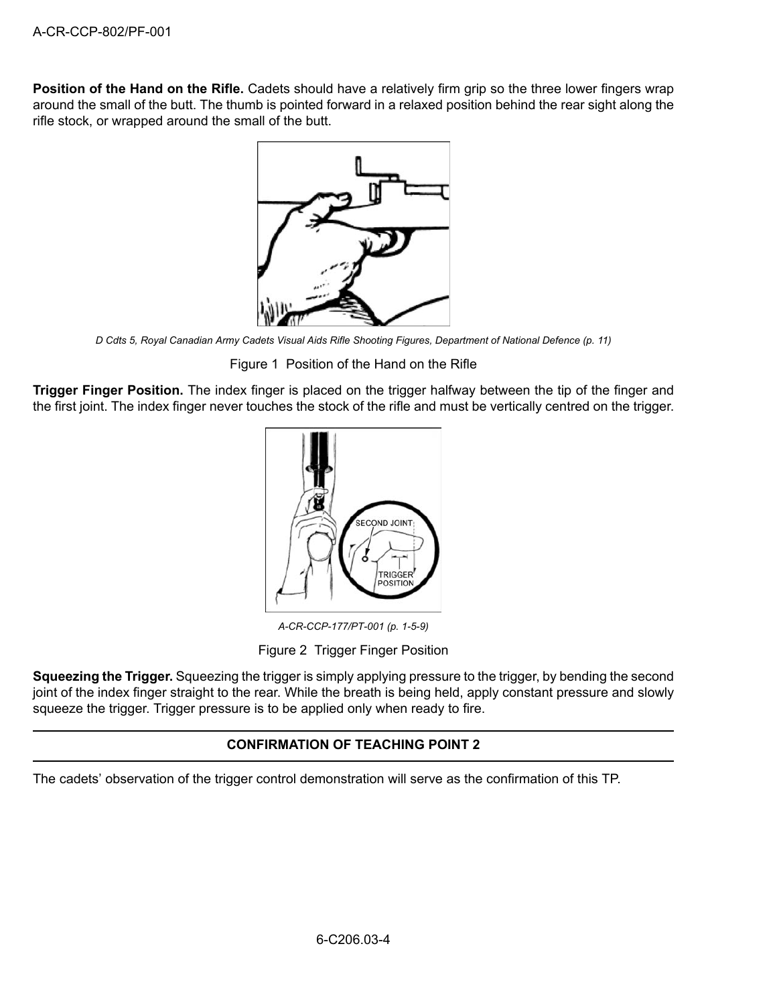**Position of the Hand on the Rifle.** Cadets should have a relatively firm grip so the three lower fingers wrap around the small of the butt. The thumb is pointed forward in a relaxed position behind the rear sight along the rifle stock, or wrapped around the small of the butt.



*D Cdts 5, Royal Canadian Army Cadets Visual Aids Rifle Shooting Figures, Department of National Defence (p. 11)*

Figure 1 Position of the Hand on the Rifle

**Trigger Finger Position.** The index finger is placed on the trigger halfway between the tip of the finger and the first joint. The index finger never touches the stock of the rifle and must be vertically centred on the trigger.



*A-CR-CCP-177/PT-001 (p. 1-5-9)*

Figure 2 Trigger Finger Position

**Squeezing the Trigger.** Squeezing the trigger is simply applying pressure to the trigger, by bending the second joint of the index finger straight to the rear. While the breath is being held, apply constant pressure and slowly squeeze the trigger. Trigger pressure is to be applied only when ready to fire.

# **CONFIRMATION OF TEACHING POINT 2**

The cadets' observation of the trigger control demonstration will serve as the confirmation of this TP.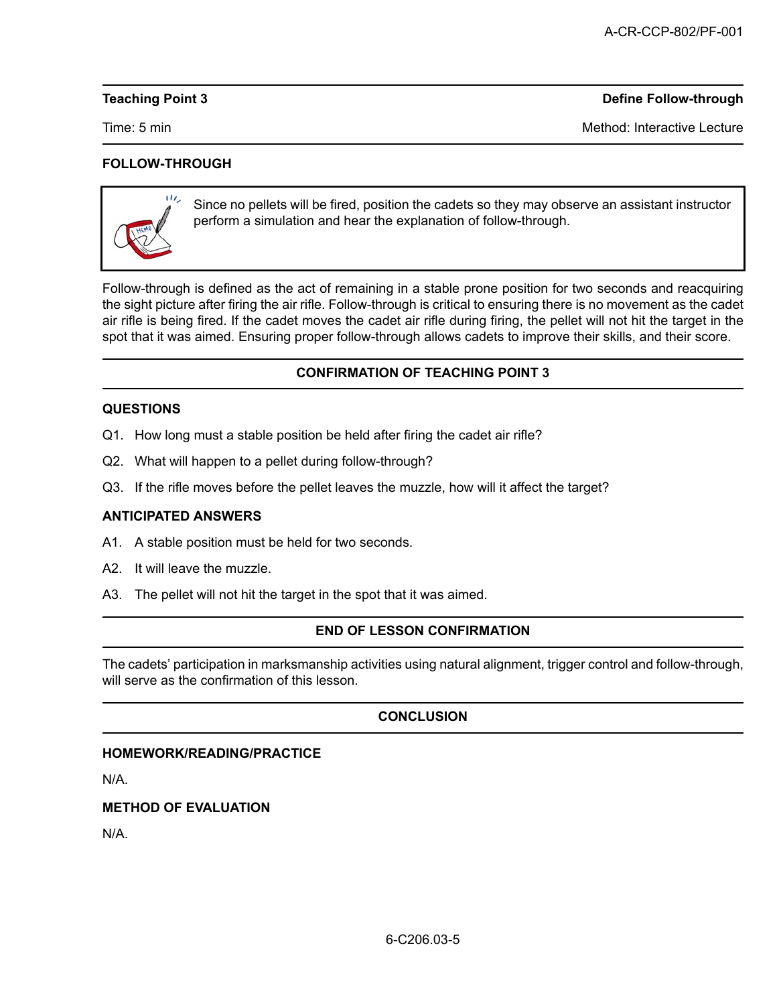**Teaching Point 3 Define Follow-through**

Time: 5 min Method: Interactive Lecture Companies and Method: Interactive Lecture

# **FOLLOW-THROUGH**



Since no pellets will be fired, position the cadets so they may observe an assistant instructor perform a simulation and hear the explanation of follow-through.

Follow-through is defined as the act of remaining in a stable prone position for two seconds and reacquiring the sight picture after firing the air rifle. Follow-through is critical to ensuring there is no movement as the cadet air rifle is being fired. If the cadet moves the cadet air rifle during firing, the pellet will not hit the target in the spot that it was aimed. Ensuring proper follow-through allows cadets to improve their skills, and their score.

# **CONFIRMATION OF TEACHING POINT 3**

### **QUESTIONS**

- Q1. How long must a stable position be held after firing the cadet air rifle?
- Q2. What will happen to a pellet during follow-through?
- Q3. If the rifle moves before the pellet leaves the muzzle, how will it affect the target?

### **ANTICIPATED ANSWERS**

- A1. A stable position must be held for two seconds.
- A2. It will leave the muzzle.
- A3. The pellet will not hit the target in the spot that it was aimed.

### **END OF LESSON CONFIRMATION**

The cadets' participation in marksmanship activities using natural alignment, trigger control and follow-through, will serve as the confirmation of this lesson.

# **CONCLUSION**

### **HOMEWORK/READING/PRACTICE**

N/A.

### **METHOD OF EVALUATION**

N/A.